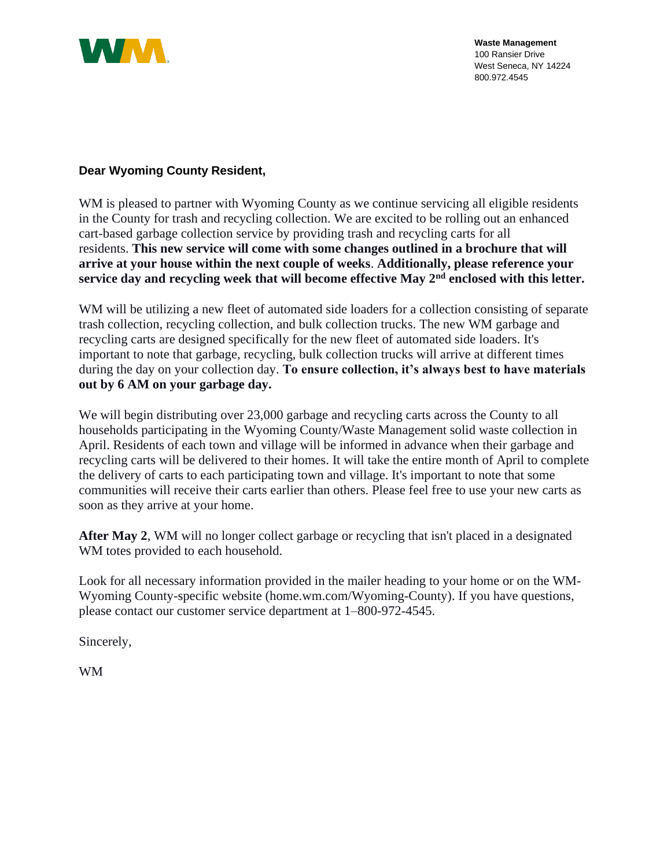

## **Dear Wyoming County Resident,**

WM is pleased to partner with Wyoming County as we continue servicing all eligible residents in the County for trash and recycling collection. We are excited to be rolling out an enhanced cart-based garbage collection service by providing trash and recycling carts for all residents. **This new service will come with some changes outlined in a brochure that will arrive at your house within the next couple of weeks**. **Additionally, please reference your service day and recycling week that will become effective May 2nd enclosed with this letter.**

WM will be utilizing a new fleet of automated side loaders for a collection consisting of separate trash collection, recycling collection, and bulk collection trucks. The new WM garbage and recycling carts are designed specifically for the new fleet of automated side loaders. It's important to note that garbage, recycling, bulk collection trucks will arrive at different times during the day on your collection day. **To ensure collection, it's always best to have materials out by 6 AM on your garbage day.** 

We will begin distributing over 23,000 garbage and recycling carts across the County to all households participating in the Wyoming County/Waste Management solid waste collection in April. Residents of each town and village will be informed in advance when their garbage and recycling carts will be delivered to their homes. It will take the entire month of April to complete the delivery of carts to each participating town and village. It's important to note that some communities will receive their carts earlier than others. Please feel free to use your new carts as soon as they arrive at your home.

**After May 2**, WM will no longer collect garbage or recycling that isn't placed in a designated WM totes provided to each household.

Look for all necessary information provided in the mailer heading to your home or on the WM-Wyoming County-specific website (home.wm.com/Wyoming-County). If you have questions, please contact our customer service department at 1–800-972-4545.

Sincerely,

WM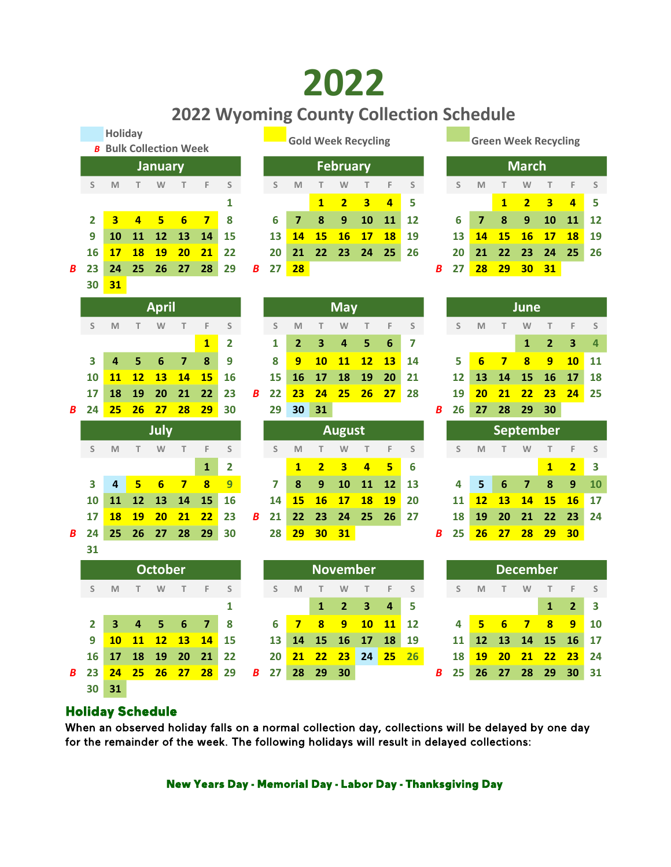## 2022

## 2022 Wyoming County Collection Schedule

|   |                                                             |                         |                         |                 |                          |                         |                         |   |             |                         |                |                         |                |                         | <b>ZUZZ WYOMING COUNTY CONCITION SCREQUIE</b> |   |          |                |                 |                             |                  |                         |             |
|---|-------------------------------------------------------------|-------------------------|-------------------------|-----------------|--------------------------|-------------------------|-------------------------|---|-------------|-------------------------|----------------|-------------------------|----------------|-------------------------|-----------------------------------------------|---|----------|----------------|-----------------|-----------------------------|------------------|-------------------------|-------------|
|   |                                                             | <b>Holiday</b>          |                         |                 |                          |                         |                         |   |             |                         |                |                         |                |                         |                                               |   |          |                |                 | <b>Green Week Recycling</b> |                  |                         |             |
|   | <b>Gold Week Recycling</b><br><b>B</b> Bulk Collection Week |                         |                         |                 |                          |                         |                         |   |             |                         |                |                         |                |                         |                                               |   |          |                |                 |                             |                  |                         |             |
|   |                                                             |                         |                         | <b>January</b>  |                          |                         |                         |   |             |                         |                | <b>February</b>         |                |                         |                                               |   |          |                |                 | <b>March</b>                |                  |                         |             |
|   | S                                                           | M                       | T.                      | W               | T                        | F                       | S                       |   | S           | M                       | T              | W                       | Т              | F                       | $\sf S$                                       |   | S        | M              | T               | W                           | T                | F                       | S           |
|   |                                                             |                         |                         |                 |                          |                         | 1                       |   |             |                         | $\mathbf{1}$   | $\overline{2}$          | 3              | $\overline{4}$          | 5                                             |   |          |                | $\mathbf{1}$    | $\overline{2}$              | 3                | $\overline{4}$          | 5           |
|   | $\overline{2}$                                              | $\overline{\mathbf{3}}$ | 4                       | 5               | $6\overline{6}$          | $\overline{\mathbf{z}}$ | 8                       |   | 6           | $\overline{\mathbf{z}}$ | 8              | 9                       | 10             | 11                      | 12                                            |   | 6        | 7              | 8               | 9                           | 10               | 11                      | 12          |
|   | 9                                                           | 10                      | 11                      | 12              | 13                       | 14                      | 15                      |   | 13          | 14                      | 15             | 16                      | 17             | <b>18</b>               | 19                                            |   | 13       | 14             | <b>15</b>       | 16                          | 17               | <b>18</b>               | 19          |
|   | 16                                                          | 17                      | <b>18</b>               | 19              | 20                       | 21                      | 22                      |   | 20          | 21                      | 22             | 23                      | 24             | 25                      | 26                                            |   | 20       | 21             | 22              | 23                          | 24               | 25                      | 26          |
| B | 23                                                          | 24                      | 25                      | 26              | 27                       | 28                      | 29                      | B | 27          | 28                      |                |                         |                |                         |                                               | В | 27       | 28             | 29              | 30                          | <b>31</b>        |                         |             |
|   | 30                                                          | 31                      |                         |                 |                          |                         |                         |   |             |                         |                |                         |                |                         |                                               |   |          |                |                 |                             |                  |                         |             |
|   |                                                             |                         |                         | <b>April</b>    |                          |                         |                         |   |             |                         |                | <b>May</b>              |                |                         |                                               |   |          |                |                 | <b>June</b>                 |                  |                         |             |
|   |                                                             |                         |                         |                 |                          |                         |                         |   |             |                         |                |                         |                |                         |                                               |   |          |                |                 |                             |                  |                         |             |
|   | S                                                           | M                       | Т                       | W               | T.                       | F                       | S                       |   | S           | M                       | T              | W                       | T              | F                       | S                                             |   | S        | M              | T               | W                           | T                | F                       | S           |
|   |                                                             |                         |                         |                 |                          | $\mathbf{1}$            | 2                       |   | 1           | 2                       | 3              | 4                       | 5              | $6\phantom{1}6$         | 7                                             |   |          |                |                 | 1                           | $\overline{2}$   | 3                       | 4           |
|   | 3                                                           | 4                       | 5                       | 6               | $\overline{7}$           | 8                       | 9                       |   | 8           | 9                       | 10             | 11                      | 12             | 13                      | 14                                            |   | 5        | $6\phantom{1}$ | $\overline{7}$  | $\overline{\mathbf{8}}$     | 9                | <b>10</b>               | 11          |
|   | 10                                                          | 11                      | <u>12</u>               | 13              | 14                       | 15                      | 16                      |   | 15          | 16                      | 17             | 18                      | 19             | 20                      | 21                                            |   | 12       | 13             | 14              | 15                          | 16               | 17                      | 18<br>25    |
| B | 17<br>24                                                    | 18<br>25                | 19<br>26                | 20<br>27        | 21<br>28                 | 22<br>29                | 23<br>30                | B | 22<br>29    | 23<br>30                | 24<br>31       | 25                      | 26             | 27                      | 28                                            | B | 19<br>26 | 20<br>27       | 21<br>28        | 22<br>29                    | 23<br>30         | 24                      |             |
|   |                                                             |                         |                         |                 |                          |                         |                         |   |             |                         |                |                         |                |                         |                                               |   |          |                |                 |                             |                  |                         |             |
|   |                                                             |                         |                         | July            |                          |                         |                         |   |             |                         |                | <b>August</b>           |                |                         |                                               |   |          |                |                 | <b>September</b>            |                  |                         |             |
|   | S                                                           | M                       | T.                      | W               | T                        | F                       | S                       |   | S           | M                       | T              | W                       | T              | F                       | S                                             |   | S        | M              | т               | W                           | T                | F                       | S           |
|   |                                                             |                         |                         |                 |                          | $\mathbf{1}$            | $\overline{\mathbf{2}}$ |   |             | $\mathbf{1}$            | $\overline{2}$ | $\overline{\mathbf{3}}$ | $\overline{4}$ | 5                       | 6                                             |   |          |                |                 |                             | $\mathbf{1}$     | $\overline{2}$          | 3           |
|   | 3                                                           | 4                       | 5                       | $6\phantom{1}6$ | $\overline{\mathbf{z}}$  | $\overline{\mathbf{8}}$ | $\overline{9}$          |   | 7           | 8                       | 9              | 10                      | 11             | 12                      | 13                                            |   | 4        | 5              | 6               | $\overline{7}$              | 8                | $\mathbf{9}$            | 10          |
|   | 10                                                          | 11                      | 12                      | 13              | 14                       | 15                      | 16                      |   | 14          | 15                      | 16             | 17                      | <b>18</b>      | 19                      | 20                                            |   | 11       | 12             | 13              | 14                          | 15               | <b>16</b>               | 17          |
|   | 17                                                          | 18                      | 19                      | 20              | 21                       | 22                      | 23                      | В | 21          | 22                      | 23             | 24                      | 25             | 26                      | 27                                            |   | 18       | 19             | 20              | 21                          | 22               | 23                      | 24          |
| B | 24                                                          | 25                      | 26                      | 27              | 28                       | 29                      | 30                      |   | 28          | 29                      | 30             | 31                      |                |                         |                                               | B | 25       | 26             | 27              | 28                          | 29               | 30                      |             |
|   | 31                                                          |                         |                         |                 |                          |                         |                         |   |             |                         |                |                         |                |                         |                                               |   |          |                |                 |                             |                  |                         |             |
|   |                                                             |                         |                         | <b>October</b>  |                          |                         |                         |   |             |                         |                | <b>November</b>         |                |                         |                                               |   |          |                |                 | <b>December</b>             |                  |                         |             |
|   | S                                                           | M                       | т.                      | W               | T                        | F                       | S                       |   | S           | M                       | т              | W                       | Т              | F                       | S                                             |   | S        | M              | т               | W                           | т                | F                       | $\mathsf S$ |
|   |                                                             |                         |                         |                 |                          |                         | 1                       |   |             |                         | $\mathbf{1}$   | $\mathbf{2}$            | 3              | $\overline{\mathbf{4}}$ | 5                                             |   |          |                |                 |                             | $\mathbf{1}$     | $\overline{\mathbf{2}}$ | 3           |
|   | $\mathbf{2}$                                                | 3 <sup>7</sup>          | $\overline{\mathbf{4}}$ | 5 <sub>1</sub>  | $6\phantom{1}$           | $\overline{\mathbf{z}}$ | 8                       |   | 6           | $\overline{7}$          | 8              | 9                       | 10             | 11                      | 12                                            |   | 4        | 5 <sub>1</sub> | $6\overline{6}$ | $\overline{7}$              | $\boldsymbol{8}$ | 9                       | 10          |
|   | 9                                                           | 10                      | <b>11</b>               | 12              | <b>13</b>                | 14                      | 15                      |   | 13          | 14                      | 15             | 16                      | 17             | <b>18</b>               | 19                                            |   | 11       | 12             | 13              | 14                          | <b>15</b>        | 16                      | 17          |
|   | 16                                                          | 17                      | ${\bf 18}$              | $19\,$          | 20                       | 21                      | 22                      |   | 20          | 21                      | 22             | 23                      |                |                         | 24 25 26                                      |   | 18       | <b>19</b>      | 20              | 21                          | 22               | 23                      | 24          |
| B | 23                                                          | 24                      | 25                      |                 | <mark>26 27 28</mark> 29 |                         |                         |   | <b>B</b> 27 |                         | 28 29          | 30                      |                |                         |                                               | B | 25       |                |                 | 26 27 28 29                 |                  | 30                      | 31          |
|   | 30                                                          | 31                      |                         |                 |                          |                         |                         |   |             |                         |                |                         |                |                         |                                               |   |          |                |                 |                             |                  |                         |             |

## **Holiday Schedule**

When an observed holiday falls on a normal collection day, collections will be delayed by one day for the remainder of the week. The following holidays will result in delayed collections:

New Years Day - Memorial Day - Labor Day - Thanksgiving Day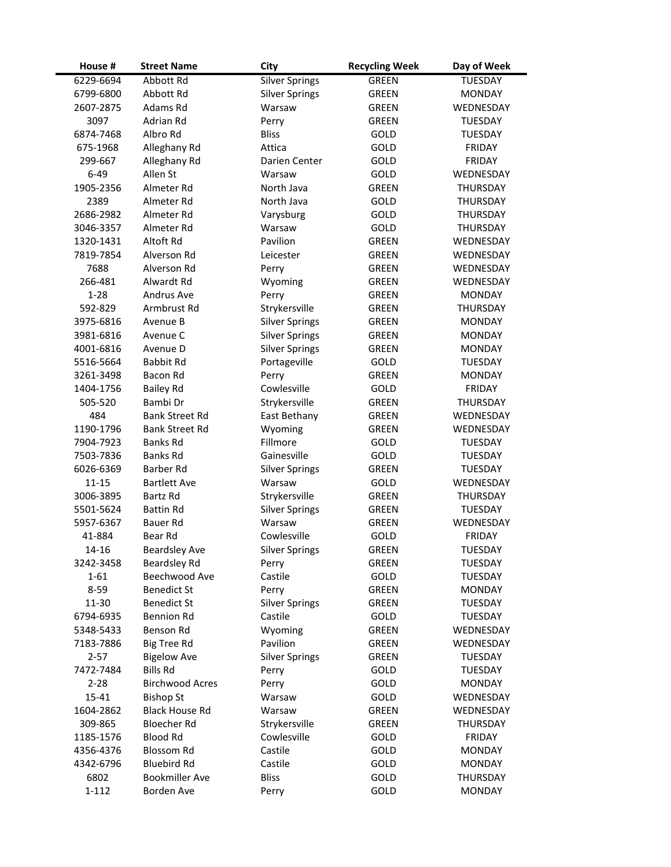| House #   | <b>Street Name</b>     | City                  | <b>Recycling Week</b> | Day of Week     |
|-----------|------------------------|-----------------------|-----------------------|-----------------|
| 6229-6694 | Abbott Rd              | <b>Silver Springs</b> | <b>GREEN</b>          | <b>TUESDAY</b>  |
| 6799-6800 | Abbott Rd              | <b>Silver Springs</b> | GREEN                 | <b>MONDAY</b>   |
| 2607-2875 | Adams Rd               | Warsaw                | GREEN                 | WEDNESDAY       |
| 3097      | Adrian Rd              | Perry                 | <b>GREEN</b>          | <b>TUESDAY</b>  |
| 6874-7468 | Albro Rd               | <b>Bliss</b>          | GOLD                  | <b>TUESDAY</b>  |
| 675-1968  | Alleghany Rd           | Attica                | GOLD                  | <b>FRIDAY</b>   |
| 299-667   | Alleghany Rd           | Darien Center         | GOLD                  | <b>FRIDAY</b>   |
| $6 - 49$  | Allen St               | Warsaw                | GOLD                  | WEDNESDAY       |
| 1905-2356 | Almeter Rd             | North Java            | <b>GREEN</b>          | THURSDAY        |
| 2389      | Almeter Rd             | North Java            | GOLD                  | THURSDAY        |
| 2686-2982 | Almeter Rd             | Varysburg             | GOLD                  | THURSDAY        |
| 3046-3357 | Almeter Rd             | Warsaw                | GOLD                  | THURSDAY        |
| 1320-1431 | Altoft Rd              | Pavilion              | GREEN                 | WEDNESDAY       |
| 7819-7854 | Alverson Rd            | Leicester             | <b>GREEN</b>          | WEDNESDAY       |
| 7688      | Alverson Rd            | Perry                 | GREEN                 | WEDNESDAY       |
| 266-481   | Alwardt Rd             | Wyoming               | <b>GREEN</b>          | WEDNESDAY       |
| $1 - 28$  | Andrus Ave             | Perry                 | <b>GREEN</b>          | <b>MONDAY</b>   |
| 592-829   | Armbrust Rd            | Strykersville         | <b>GREEN</b>          | <b>THURSDAY</b> |
| 3975-6816 | Avenue B               | <b>Silver Springs</b> | <b>GREEN</b>          | <b>MONDAY</b>   |
| 3981-6816 | Avenue C               | <b>Silver Springs</b> | <b>GREEN</b>          | <b>MONDAY</b>   |
| 4001-6816 | Avenue D               | <b>Silver Springs</b> | <b>GREEN</b>          | <b>MONDAY</b>   |
| 5516-5664 | <b>Babbit Rd</b>       | Portageville          | GOLD                  | <b>TUESDAY</b>  |
| 3261-3498 | Bacon Rd               | Perry                 | <b>GREEN</b>          | <b>MONDAY</b>   |
| 1404-1756 | <b>Bailey Rd</b>       | Cowlesville           | GOLD                  | <b>FRIDAY</b>   |
| 505-520   | Bambi Dr               | Strykersville         | GREEN                 | <b>THURSDAY</b> |
| 484       | Bank Street Rd         | East Bethany          | GREEN                 | WEDNESDAY       |
| 1190-1796 | Bank Street Rd         | Wyoming               | <b>GREEN</b>          | WEDNESDAY       |
| 7904-7923 | Banks Rd               | Fillmore              | GOLD                  | <b>TUESDAY</b>  |
| 7503-7836 | Banks Rd               | Gainesville           | GOLD                  | <b>TUESDAY</b>  |
| 6026-6369 | <b>Barber Rd</b>       | <b>Silver Springs</b> | <b>GREEN</b>          | <b>TUESDAY</b>  |
| $11 - 15$ | <b>Bartlett Ave</b>    | Warsaw                | GOLD                  | WEDNESDAY       |
| 3006-3895 | Bartz Rd               | Strykersville         | <b>GREEN</b>          | THURSDAY        |
| 5501-5624 | <b>Battin Rd</b>       | <b>Silver Springs</b> | GREEN                 | <b>TUESDAY</b>  |
| 5957-6367 | Bauer Rd               | Warsaw                | <b>GREEN</b>          | WEDNESDAY       |
| 41-884    | Bear Rd                | Cowlesville           | GOLD                  | <b>FRIDAY</b>   |
| 14-16     | <b>Beardsley Ave</b>   | <b>Silver Springs</b> | <b>GREEN</b>          | TUESDAY         |
| 3242-3458 | <b>Beardsley Rd</b>    | Perry                 | <b>GREEN</b>          | <b>TUESDAY</b>  |
| $1 - 61$  | Beechwood Ave          | Castile               | GOLD                  | TUESDAY         |
| $8 - 59$  | <b>Benedict St</b>     | Perry                 | <b>GREEN</b>          | <b>MONDAY</b>   |
| 11-30     | <b>Benedict St</b>     | <b>Silver Springs</b> | GREEN                 | <b>TUESDAY</b>  |
| 6794-6935 | <b>Bennion Rd</b>      | Castile               | <b>GOLD</b>           | <b>TUESDAY</b>  |
| 5348-5433 | Benson Rd              | Wyoming               | <b>GREEN</b>          | WEDNESDAY       |
| 7183-7886 | <b>Big Tree Rd</b>     | Pavilion              | GREEN                 | WEDNESDAY       |
| $2 - 57$  | <b>Bigelow Ave</b>     | <b>Silver Springs</b> | GREEN                 | <b>TUESDAY</b>  |
| 7472-7484 | <b>Bills Rd</b>        | Perry                 | GOLD                  | <b>TUESDAY</b>  |
| $2 - 28$  | <b>Birchwood Acres</b> | Perry                 | GOLD                  | <b>MONDAY</b>   |
| 15-41     | <b>Bishop St</b>       | Warsaw                | GOLD                  | WEDNESDAY       |
| 1604-2862 | <b>Black House Rd</b>  | Warsaw                | GREEN                 | WEDNESDAY       |
| 309-865   | <b>Bloecher Rd</b>     | Strykersville         | GREEN                 | THURSDAY        |
| 1185-1576 | <b>Blood Rd</b>        | Cowlesville           | GOLD                  | <b>FRIDAY</b>   |
| 4356-4376 | <b>Blossom Rd</b>      | Castile               | GOLD                  | <b>MONDAY</b>   |
| 4342-6796 | <b>Bluebird Rd</b>     | Castile               | GOLD                  | <b>MONDAY</b>   |
| 6802      | <b>Bookmiller Ave</b>  | <b>Bliss</b>          | GOLD                  | THURSDAY        |
| $1 - 112$ | Borden Ave             | Perry                 | GOLD                  | <b>MONDAY</b>   |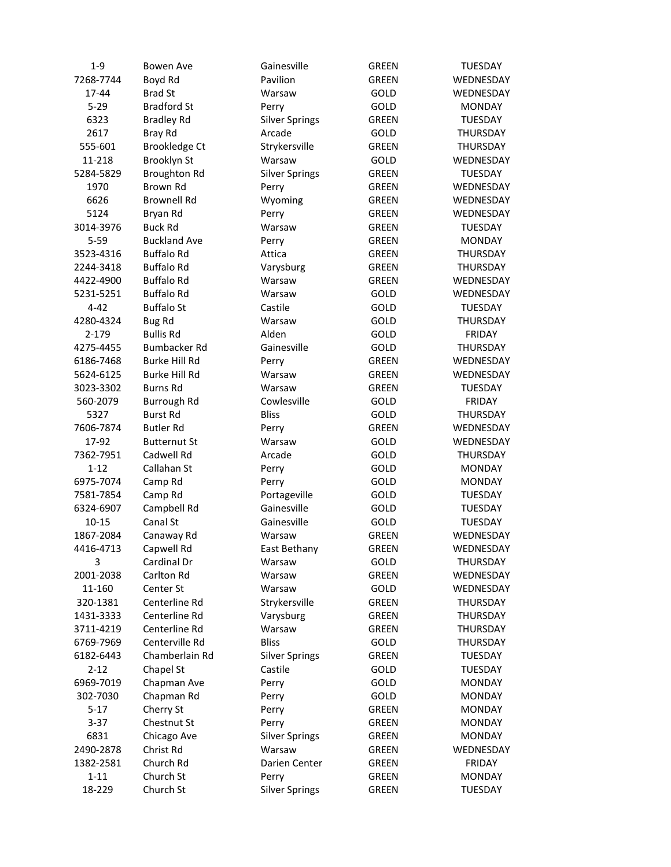| $1 - 9$   | <b>Bowen Ave</b>     | Gainesville                 | <b>GREEN</b> | TUESDAY         |
|-----------|----------------------|-----------------------------|--------------|-----------------|
| 7268-7744 | Boyd Rd              | Pavilion                    | <b>GREEN</b> | WEDNESDAY       |
| 17-44     | <b>Brad St</b>       | Warsaw                      | GOLD         | WEDNESDAY       |
| $5 - 29$  | <b>Bradford St</b>   | Perry                       | GOLD         | <b>MONDAY</b>   |
| 6323      | <b>Bradley Rd</b>    | <b>Silver Springs</b>       | <b>GREEN</b> | <b>TUESDAY</b>  |
| 2617      | <b>Bray Rd</b>       | Arcade                      | <b>GOLD</b>  | <b>THURSDAY</b> |
| 555-601   | <b>Brookledge Ct</b> | Strykersville               | <b>GREEN</b> | <b>THURSDAY</b> |
| 11-218    | Brooklyn St          | Warsaw                      | <b>GOLD</b>  | WEDNESDAY       |
| 5284-5829 | <b>Broughton Rd</b>  | <b>Silver Springs</b>       | <b>GREEN</b> | <b>TUESDAY</b>  |
| 1970      | Brown Rd             | Perry                       | <b>GREEN</b> | WEDNESDAY       |
| 6626      | <b>Brownell Rd</b>   | Wyoming                     | <b>GREEN</b> | WEDNESDAY       |
| 5124      | Bryan Rd             | Perry                       | <b>GREEN</b> | WEDNESDAY       |
| 3014-3976 | <b>Buck Rd</b>       | Warsaw                      | <b>GREEN</b> | TUESDAY         |
| $5 - 59$  | <b>Buckland Ave</b>  | Perry                       | <b>GREEN</b> | <b>MONDAY</b>   |
| 3523-4316 | <b>Buffalo Rd</b>    | Attica                      | <b>GREEN</b> | THURSDAY        |
| 2244-3418 | <b>Buffalo Rd</b>    | Varysburg                   | <b>GREEN</b> | THURSDAY        |
| 4422-4900 | <b>Buffalo Rd</b>    | Warsaw                      | <b>GREEN</b> | WEDNESDAY       |
| 5231-5251 | <b>Buffalo Rd</b>    | Warsaw                      | GOLD         | WEDNESDAY       |
| $4 - 42$  | <b>Buffalo St</b>    | Castile                     | GOLD         | <b>TUESDAY</b>  |
| 4280-4324 | <b>Bug Rd</b>        | Warsaw                      | GOLD         | <b>THURSDAY</b> |
| 2-179     | <b>Bullis Rd</b>     | Alden                       | GOLD         | <b>FRIDAY</b>   |
| 4275-4455 | <b>Bumbacker Rd</b>  | Gainesville                 | GOLD         | THURSDAY        |
| 6186-7468 | <b>Burke Hill Rd</b> | Perry                       | <b>GREEN</b> | WEDNESDAY       |
| 5624-6125 | <b>Burke Hill Rd</b> | Warsaw                      | GREEN        | WEDNESDAY       |
| 3023-3302 | <b>Burns Rd</b>      | Warsaw                      | <b>GREEN</b> | TUESDAY         |
| 560-2079  | Burrough Rd          | Cowlesville                 | GOLD         | <b>FRIDAY</b>   |
| 5327      | <b>Burst Rd</b>      | <b>Bliss</b>                | GOLD         | <b>THURSDAY</b> |
| 7606-7874 | <b>Butler Rd</b>     |                             | <b>GREEN</b> | WEDNESDAY       |
| 17-92     | <b>Butternut St</b>  | Perry<br>Warsaw             | <b>GOLD</b>  | WEDNESDAY       |
| 7362-7951 | Cadwell Rd           | Arcade                      | <b>GOLD</b>  | <b>THURSDAY</b> |
| $1 - 12$  | Callahan St          | Perry                       | GOLD         | <b>MONDAY</b>   |
| 6975-7074 | Camp Rd              | Perry                       | GOLD         | <b>MONDAY</b>   |
| 7581-7854 | Camp Rd              |                             | GOLD         | <b>TUESDAY</b>  |
| 6324-6907 | Campbell Rd          | Portageville<br>Gainesville |              |                 |
| $10 - 15$ | Canal St             | Gainesville                 | GOLD         | <b>TUESDAY</b>  |
|           |                      |                             | GOLD         | <b>TUESDAY</b>  |
| 1867-2084 | Canaway Rd           | Warsaw                      | <b>GREEN</b> | WEDNESDAY       |
| 4416-4713 | Capwell Rd           | East Bethany                | <b>GREEN</b> | WEDNESDAY       |
| 3         | Cardinal Dr          | Warsaw                      | GOLD         | THURSDAY        |
| 2001-2038 | Carlton Rd           | Warsaw                      | <b>GREEN</b> | WEDNESDAY       |
| 11-160    | Center St            | Warsaw                      | <b>GOLD</b>  | WEDNESDAY       |
| 320-1381  | Centerline Rd        | Strykersville               | <b>GREEN</b> | THURSDAY        |
| 1431-3333 | Centerline Rd        | Varysburg                   | GREEN        | THURSDAY        |
| 3711-4219 | Centerline Rd        | Warsaw                      | <b>GREEN</b> | THURSDAY        |
| 6769-7969 | Centerville Rd       | <b>Bliss</b>                | GOLD         | THURSDAY        |
| 6182-6443 | Chamberlain Rd       | <b>Silver Springs</b>       | GREEN        | <b>TUESDAY</b>  |
| $2 - 12$  | Chapel St            | Castile                     | GOLD         | <b>TUESDAY</b>  |
| 6969-7019 | Chapman Ave          | Perry                       | GOLD         | <b>MONDAY</b>   |
| 302-7030  | Chapman Rd           | Perry                       | GOLD         | <b>MONDAY</b>   |
| $5 - 17$  | Cherry St            | Perry                       | GREEN        | <b>MONDAY</b>   |
| $3 - 37$  | Chestnut St          | Perry                       | <b>GREEN</b> | <b>MONDAY</b>   |
| 6831      | Chicago Ave          | <b>Silver Springs</b>       | GREEN        | <b>MONDAY</b>   |
| 2490-2878 | Christ Rd            | Warsaw                      | <b>GREEN</b> | WEDNESDAY       |
| 1382-2581 | Church Rd            | Darien Center               | GREEN        | <b>FRIDAY</b>   |
| $1 - 11$  | Church St            | Perry                       | GREEN        | <b>MONDAY</b>   |
| 18-229    | Church St            | <b>Silver Springs</b>       | GREEN        | <b>TUESDAY</b>  |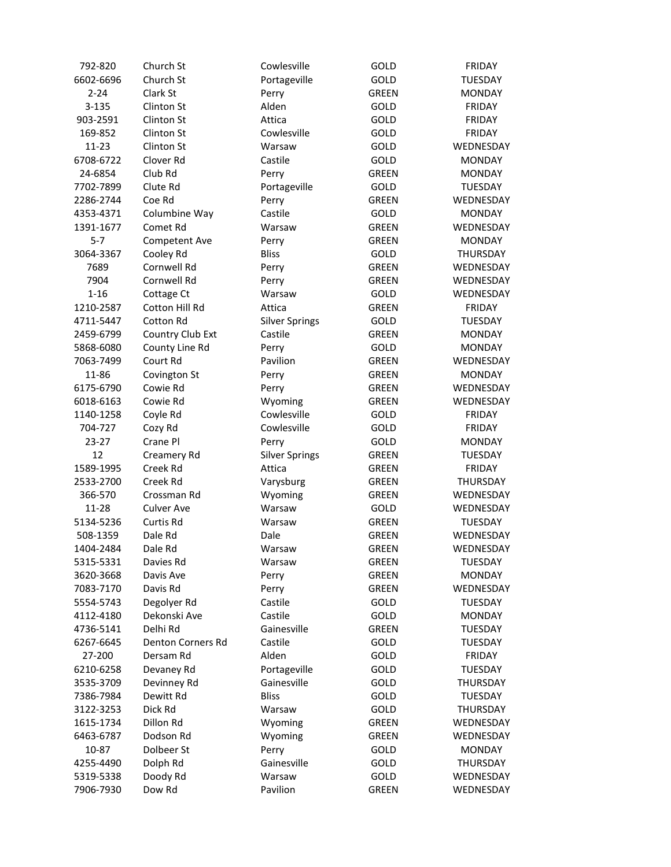| 792-820   | Church St                | Cowlesville           | GOLD         | <b>FRIDAY</b>   |
|-----------|--------------------------|-----------------------|--------------|-----------------|
| 6602-6696 | Church St                | Portageville          | GOLD         | <b>TUESDAY</b>  |
| $2 - 24$  | Clark St                 | Perry                 | <b>GREEN</b> | <b>MONDAY</b>   |
| $3 - 135$ | Clinton St               | Alden                 | <b>GOLD</b>  | FRIDAY          |
| 903-2591  | Clinton St               | Attica                | GOLD         | <b>FRIDAY</b>   |
| 169-852   | Clinton St               | Cowlesville           | GOLD         | FRIDAY          |
| $11 - 23$ | Clinton St               | Warsaw                | GOLD         | WEDNESDAY       |
| 6708-6722 | Clover Rd                | Castile               | GOLD         | <b>MONDAY</b>   |
| 24-6854   | Club Rd                  | Perry                 | <b>GREEN</b> | <b>MONDAY</b>   |
| 7702-7899 | Clute Rd                 | Portageville          | GOLD         | <b>TUESDAY</b>  |
| 2286-2744 | Coe Rd                   | Perry                 | <b>GREEN</b> | WEDNESDAY       |
| 4353-4371 | Columbine Way            | Castile               | <b>GOLD</b>  | <b>MONDAY</b>   |
| 1391-1677 | Comet Rd                 | Warsaw                | <b>GREEN</b> | WEDNESDAY       |
| $5 - 7$   | Competent Ave            | Perry                 | <b>GREEN</b> | <b>MONDAY</b>   |
| 3064-3367 | Cooley Rd                | <b>Bliss</b>          | GOLD         | THURSDAY        |
| 7689      | Cornwell Rd              | Perry                 | <b>GREEN</b> | WEDNESDAY       |
| 7904      | Cornwell Rd              | Perry                 | <b>GREEN</b> | WEDNESDAY       |
| $1 - 16$  | Cottage Ct               | Warsaw                | GOLD         | WEDNESDAY       |
| 1210-2587 | Cotton Hill Rd           | Attica                | <b>GREEN</b> | FRIDAY          |
| 4711-5447 | Cotton Rd                | <b>Silver Springs</b> | GOLD         | <b>TUESDAY</b>  |
| 2459-6799 | Country Club Ext         | Castile               | <b>GREEN</b> | <b>MONDAY</b>   |
| 5868-6080 | County Line Rd           | Perry                 | GOLD         | <b>MONDAY</b>   |
| 7063-7499 | Court Rd                 | Pavilion              | <b>GREEN</b> | WEDNESDAY       |
| 11-86     | Covington St             | Perry                 | <b>GREEN</b> | <b>MONDAY</b>   |
| 6175-6790 | Cowie Rd                 | Perry                 | <b>GREEN</b> | WEDNESDAY       |
| 6018-6163 | Cowie Rd                 | Wyoming               | <b>GREEN</b> | WEDNESDAY       |
| 1140-1258 | Coyle Rd                 | Cowlesville           | GOLD         | <b>FRIDAY</b>   |
| 704-727   | Cozy Rd                  | Cowlesville           | GOLD         | <b>FRIDAY</b>   |
| $23 - 27$ | Crane Pl                 | Perry                 | GOLD         | <b>MONDAY</b>   |
| 12        | Creamery Rd              | <b>Silver Springs</b> | <b>GREEN</b> | <b>TUESDAY</b>  |
| 1589-1995 | Creek Rd                 | Attica                | <b>GREEN</b> | FRIDAY          |
| 2533-2700 | Creek Rd                 | Varysburg             | <b>GREEN</b> | THURSDAY        |
| 366-570   | Crossman Rd              | Wyoming               | GREEN        | WEDNESDAY       |
| 11-28     | <b>Culver Ave</b>        | Warsaw                | GOLD         | WEDNESDAY       |
| 5134-5236 | Curtis Rd                | Warsaw                | <b>GREEN</b> | <b>TUESDAY</b>  |
| 508-1359  | Dale Rd                  | Dale                  | <b>GREEN</b> | WEDNESDAY       |
| 1404-2484 | Dale Rd                  | Warsaw                | <b>GREEN</b> | WEDNESDAY       |
| 5315-5331 | Davies Rd                | Warsaw                | <b>GREEN</b> | <b>TUESDAY</b>  |
| 3620-3668 | Davis Ave                | Perry                 | <b>GREEN</b> | <b>MONDAY</b>   |
| 7083-7170 | Davis Rd                 | Perry                 | <b>GREEN</b> | WEDNESDAY       |
| 5554-5743 | Degolyer Rd              | Castile               | GOLD         | <b>TUESDAY</b>  |
| 4112-4180 | Dekonski Ave             | Castile               | GOLD         | <b>MONDAY</b>   |
| 4736-5141 | Delhi Rd                 | Gainesville           | <b>GREEN</b> | <b>TUESDAY</b>  |
| 6267-6645 | <b>Denton Corners Rd</b> | Castile               | GOLD         | <b>TUESDAY</b>  |
| 27-200    | Dersam Rd                | Alden                 | GOLD         | <b>FRIDAY</b>   |
| 6210-6258 | Devaney Rd               | Portageville          | GOLD         | <b>TUESDAY</b>  |
| 3535-3709 | Devinney Rd              | Gainesville           | GOLD         | <b>THURSDAY</b> |
| 7386-7984 | Dewitt Rd                | <b>Bliss</b>          | GOLD         | TUESDAY         |
|           | Dick Rd                  | Warsaw                | <b>GOLD</b>  | <b>THURSDAY</b> |
| 3122-3253 |                          |                       |              |                 |
| 1615-1734 | Dillon Rd                | Wyoming               | <b>GREEN</b> | WEDNESDAY       |
| 6463-6787 | Dodson Rd                | Wyoming               | GREEN        | WEDNESDAY       |
| 10-87     | Dolbeer St               | Perry                 | GOLD         | <b>MONDAY</b>   |
| 4255-4490 | Dolph Rd                 | Gainesville           | GOLD         | <b>THURSDAY</b> |
| 5319-5338 | Doody Rd                 | Warsaw                | GOLD         | WEDNESDAY       |
| 7906-7930 | Dow Rd                   | Pavilion              | <b>GREEN</b> | WEDNESDAY       |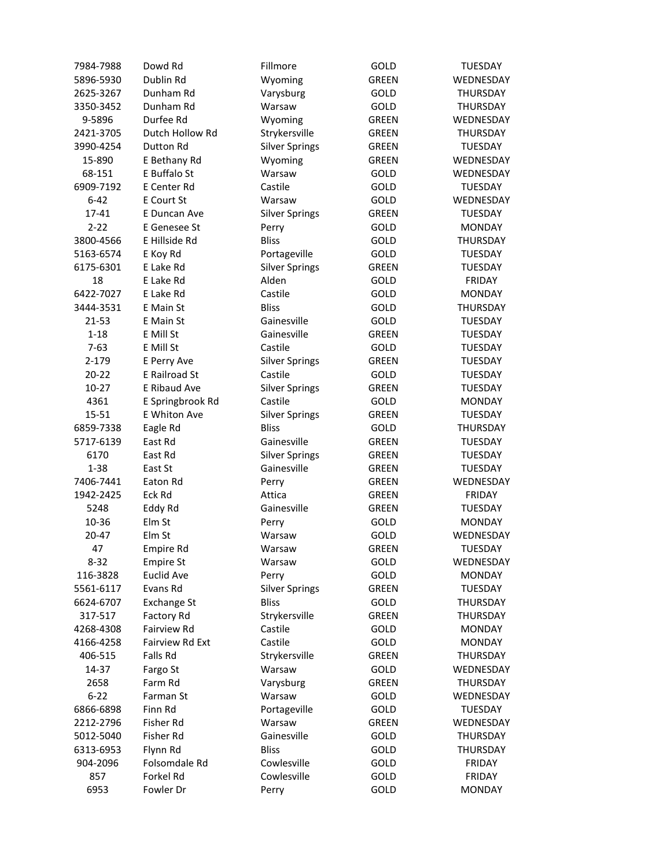| 7984-7988 | Dowd Rd                | Fillmore              | GOLD         | <b>TUESDAY</b>   |
|-----------|------------------------|-----------------------|--------------|------------------|
| 5896-5930 | Dublin Rd              | Wyoming               | <b>GREEN</b> | <b>WEDNESDAY</b> |
| 2625-3267 | Dunham Rd              | Varysburg             | <b>GOLD</b>  | THURSDAY         |
| 3350-3452 | Dunham Rd              | Warsaw                | <b>GOLD</b>  | THURSDAY         |
| 9-5896    | Durfee Rd              | Wyoming               | <b>GREEN</b> | WEDNESDAY        |
| 2421-3705 | Dutch Hollow Rd        | Strykersville         | <b>GREEN</b> | THURSDAY         |
| 3990-4254 | Dutton Rd              | <b>Silver Springs</b> | <b>GREEN</b> | <b>TUESDAY</b>   |
| 15-890    | E Bethany Rd           | Wyoming               | <b>GREEN</b> | WEDNESDAY        |
| 68-151    | E Buffalo St           | Warsaw                | GOLD         | WEDNESDAY        |
| 6909-7192 | E Center Rd            | Castile               | GOLD         | <b>TUESDAY</b>   |
| $6 - 42$  | E Court St             | Warsaw                | GOLD         | WEDNESDAY        |
| 17-41     | E Duncan Ave           | <b>Silver Springs</b> | <b>GREEN</b> | <b>TUESDAY</b>   |
| $2 - 22$  | E Genesee St           | Perry                 | <b>GOLD</b>  | <b>MONDAY</b>    |
| 3800-4566 | E Hillside Rd          | <b>Bliss</b>          | GOLD         | <b>THURSDAY</b>  |
| 5163-6574 | E Koy Rd               | Portageville          | GOLD         | TUESDAY          |
| 6175-6301 | E Lake Rd              | <b>Silver Springs</b> | <b>GREEN</b> | <b>TUESDAY</b>   |
| 18        | E Lake Rd              | Alden                 | GOLD         | FRIDAY           |
| 6422-7027 | E Lake Rd              | Castile               | GOLD         | <b>MONDAY</b>    |
| 3444-3531 | E Main St              | <b>Bliss</b>          | GOLD         | THURSDAY         |
| 21-53     | E Main St              | Gainesville           | GOLD         | <b>TUESDAY</b>   |
| $1 - 18$  | E Mill St              | Gainesville           | <b>GREEN</b> | <b>TUESDAY</b>   |
| $7-63$    | E Mill St              | Castile               | GOLD         | <b>TUESDAY</b>   |
| 2-179     | E Perry Ave            | <b>Silver Springs</b> | <b>GREEN</b> | <b>TUESDAY</b>   |
| $20 - 22$ | E Railroad St          | Castile               | <b>GOLD</b>  | <b>TUESDAY</b>   |
| $10-27$   | E Ribaud Ave           | <b>Silver Springs</b> | <b>GREEN</b> | <b>TUESDAY</b>   |
| 4361      | E Springbrook Rd       | Castile               | <b>GOLD</b>  | <b>MONDAY</b>    |
| 15-51     | E Whiton Ave           | <b>Silver Springs</b> | <b>GREEN</b> | <b>TUESDAY</b>   |
| 6859-7338 | Eagle Rd               | <b>Bliss</b>          | <b>GOLD</b>  | <b>THURSDAY</b>  |
| 5717-6139 | East Rd                | Gainesville           | <b>GREEN</b> | <b>TUESDAY</b>   |
| 6170      | East Rd                | <b>Silver Springs</b> | <b>GREEN</b> | <b>TUESDAY</b>   |
| $1 - 38$  | East St                | Gainesville           | <b>GREEN</b> | <b>TUESDAY</b>   |
| 7406-7441 | Eaton Rd               | Perry                 | <b>GREEN</b> | WEDNESDAY        |
| 1942-2425 | Eck Rd                 | Attica                | <b>GREEN</b> | FRIDAY           |
| 5248      | Eddy Rd                | Gainesville           | GREEN        | <b>TUESDAY</b>   |
| 10-36     | Elm St                 | Perry                 | GOLD         | <b>MONDAY</b>    |
| $20 - 47$ | Elm St                 | Warsaw                | GOLD         | WEDNESDAY        |
| 47        | Empire Rd              | Warsaw                | <b>GREEN</b> | TUESDAY          |
| 8-32      | <b>Empire St</b>       | Warsaw                | GOLD         | WEDNESDAY        |
| 116-3828  | <b>Euclid Ave</b>      | Perry                 | GOLD         | <b>MONDAY</b>    |
| 5561-6117 | Evans Rd               | <b>Silver Springs</b> | <b>GREEN</b> | <b>TUESDAY</b>   |
| 6624-6707 | <b>Exchange St</b>     | <b>Bliss</b>          | GOLD         | THURSDAY         |
| 317-517   | Factory Rd             | Strykersville         | GREEN        | THURSDAY         |
| 4268-4308 | Fairview Rd            | Castile               | GOLD         | <b>MONDAY</b>    |
| 4166-4258 | <b>Fairview Rd Ext</b> | Castile               | GOLD         | <b>MONDAY</b>    |
| 406-515   | Falls Rd               | Strykersville         | GREEN        | THURSDAY         |
| 14-37     | Fargo St               | Warsaw                | GOLD         | WEDNESDAY        |
| 2658      | Farm Rd                | Varysburg             | <b>GREEN</b> | <b>THURSDAY</b>  |
| $6 - 22$  | Farman St              | Warsaw                | <b>GOLD</b>  | WEDNESDAY        |
| 6866-6898 | Finn Rd                | Portageville          | GOLD         | TUESDAY          |
| 2212-2796 | Fisher Rd              | Warsaw                | <b>GREEN</b> | WEDNESDAY        |
| 5012-5040 | Fisher Rd              | Gainesville           | GOLD         | THURSDAY         |
| 6313-6953 | Flynn Rd               | <b>Bliss</b>          | GOLD         | THURSDAY         |
| 904-2096  | Folsomdale Rd          | Cowlesville           | GOLD         | FRIDAY           |
| 857       | Forkel Rd              | Cowlesville           | GOLD         | <b>FRIDAY</b>    |
| 6953      | Fowler Dr              | Perry                 | GOLD         | <b>MONDAY</b>    |
|           |                        |                       |              |                  |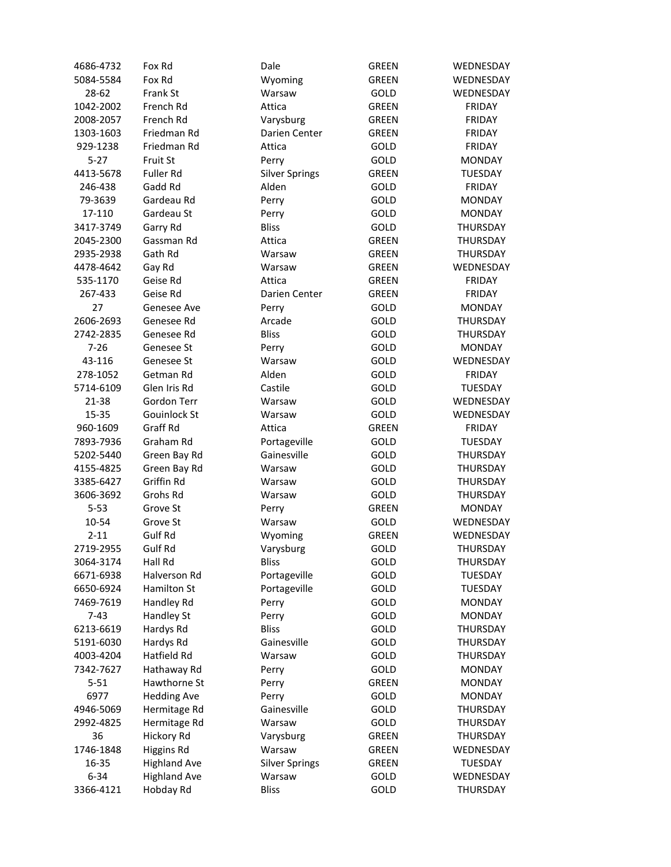| 4686-4732              | Fox Rd                    | Dale                  | <b>GREEN</b> | WEDNESDAY       |
|------------------------|---------------------------|-----------------------|--------------|-----------------|
| 5084-5584              | Fox Rd                    | Wyoming               | <b>GREEN</b> | WEDNESDAY       |
| 28-62                  | Frank St                  | Warsaw                | <b>GOLD</b>  | WEDNESDAY       |
| 1042-2002              | French Rd                 | Attica                | <b>GREEN</b> | FRIDAY          |
| 2008-2057              | French Rd                 | Varysburg             | <b>GREEN</b> | <b>FRIDAY</b>   |
| 1303-1603              | Friedman Rd               | Darien Center         | <b>GREEN</b> | FRIDAY          |
| 929-1238               | Friedman Rd               | Attica                | GOLD         | FRIDAY          |
| $5 - 27$               | Fruit St                  | Perry                 | GOLD         | <b>MONDAY</b>   |
| 4413-5678              | Fuller Rd                 | <b>Silver Springs</b> | GREEN        | <b>TUESDAY</b>  |
| 246-438                | Gadd Rd                   | Alden                 | GOLD         | <b>FRIDAY</b>   |
| 79-3639                | Gardeau Rd                | Perry                 | GOLD         | <b>MONDAY</b>   |
| 17-110                 | Gardeau St                | Perry                 | GOLD         | <b>MONDAY</b>   |
| 3417-3749              | Garry Rd                  | <b>Bliss</b>          | GOLD         | <b>THURSDAY</b> |
| 2045-2300              | Gassman Rd                | Attica                | <b>GREEN</b> | THURSDAY        |
| 2935-2938              | Gath Rd                   | Warsaw                | <b>GREEN</b> | THURSDAY        |
| 4478-4642              | Gay Rd                    | Warsaw                | <b>GREEN</b> | WEDNESDAY       |
| 535-1170               | Geise Rd                  | Attica                | <b>GREEN</b> | FRIDAY          |
| 267-433                | Geise Rd                  | Darien Center         | <b>GREEN</b> | FRIDAY          |
| 27                     | Genesee Ave               | Perry                 | GOLD         | <b>MONDAY</b>   |
| 2606-2693              | Genesee Rd                | Arcade                | GOLD         | THURSDAY        |
| 2742-2835              | Genesee Rd                | <b>Bliss</b>          | GOLD         | THURSDAY        |
| $7 - 26$               | Genesee St                | Perry                 | GOLD         | <b>MONDAY</b>   |
| 43-116                 | Genesee St                | Warsaw                | GOLD         | WEDNESDAY       |
| 278-1052               | Getman Rd                 | Alden                 | GOLD         | <b>FRIDAY</b>   |
| 5714-6109              | Glen Iris Rd              | Castile               | GOLD         | <b>TUESDAY</b>  |
| 21-38                  | Gordon Terr               | Warsaw                | GOLD         | WEDNESDAY       |
| 15-35                  | Gouinlock St              | Warsaw                | GOLD         | WEDNESDAY       |
| 960-1609               | Graff Rd                  | Attica                | <b>GREEN</b> | <b>FRIDAY</b>   |
| 7893-7936              | Graham Rd                 | Portageville          | GOLD         | <b>TUESDAY</b>  |
| 5202-5440              | Green Bay Rd              | Gainesville           | GOLD         | THURSDAY        |
| 4155-4825              | Green Bay Rd              | Warsaw                | GOLD         | THURSDAY        |
| 3385-6427              | Griffin Rd                | Warsaw                | GOLD         | THURSDAY        |
| 3606-3692              | Grohs Rd                  | Warsaw                | GOLD         | THURSDAY        |
| $5 - 53$               | Grove St                  | Perry                 | GREEN        | <b>MONDAY</b>   |
| 10-54                  | Grove St                  | Warsaw                | GOLD         | WEDNESDAY       |
| $2 - 11$               | Gulf Rd                   |                       | <b>GREEN</b> | WEDNESDAY       |
|                        |                           | Wyoming               | GOLD         |                 |
| 2719-2955<br>3064-3174 | Gulf Rd<br>Hall Rd        | Varysburg             |              | THURSDAY        |
|                        |                           | Bliss                 | GOLD         | THURSDAY        |
| 6671-6938              | Halverson Rd              | Portageville          | GOLD         | TUESDAY         |
| 6650-6924<br>7469-7619 | Hamilton St<br>Handley Rd | Portageville          | GOLD         | <b>TUESDAY</b>  |
|                        |                           | Perry                 | GOLD         | <b>MONDAY</b>   |
| $7 - 43$               | Handley St                | Perry<br><b>Bliss</b> | GOLD         | <b>MONDAY</b>   |
| 6213-6619              | Hardys Rd                 |                       | GOLD         | THURSDAY        |
| 5191-6030              | Hardys Rd                 | Gainesville           | GOLD         | THURSDAY        |
| 4003-4204              | Hatfield Rd               | Warsaw                | GOLD         | THURSDAY        |
| 7342-7627              | Hathaway Rd               | Perry                 | GOLD         | <b>MONDAY</b>   |
| $5 - 51$               | Hawthorne St              | Perry                 | <b>GREEN</b> | <b>MONDAY</b>   |
| 6977                   | <b>Hedding Ave</b>        | Perry                 | GOLD         | <b>MONDAY</b>   |
| 4946-5069              | Hermitage Rd              | Gainesville           | GOLD         | THURSDAY        |
| 2992-4825              | Hermitage Rd              | Warsaw                | GOLD         | <b>THURSDAY</b> |
| 36                     | Hickory Rd                | Varysburg             | GREEN        | THURSDAY        |
| 1746-1848              | <b>Higgins Rd</b>         | Warsaw                | GREEN        | WEDNESDAY       |
| 16-35                  | <b>Highland Ave</b>       | <b>Silver Springs</b> | GREEN        | <b>TUESDAY</b>  |
| $6 - 34$               | <b>Highland Ave</b>       | Warsaw                | GOLD         | WEDNESDAY       |
| 3366-4121              | Hobday Rd                 | <b>Bliss</b>          | GOLD         | THURSDAY        |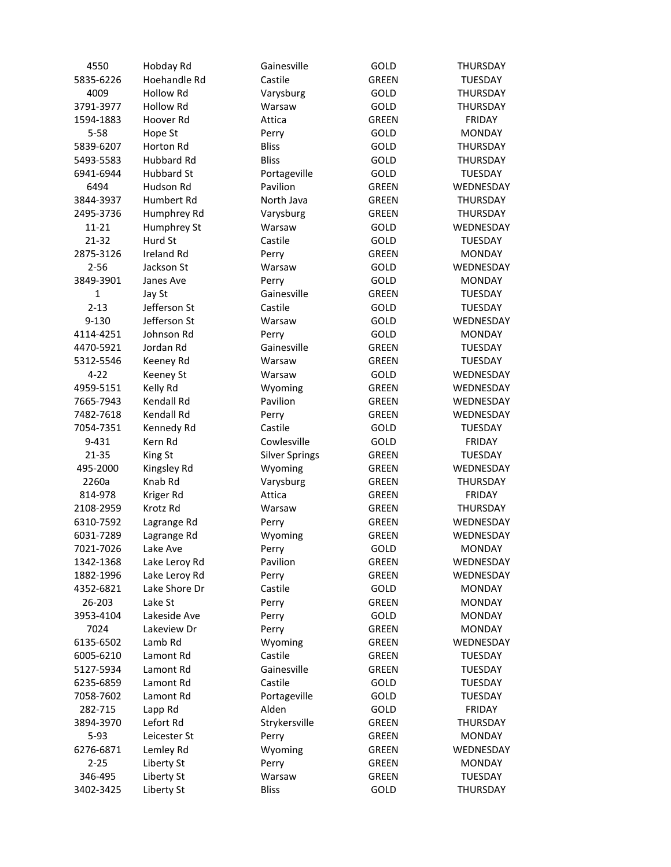| 4550                   | Hobday Rd                      | Gainesville           | GOLD                  | <b>THURSDAY</b>            |
|------------------------|--------------------------------|-----------------------|-----------------------|----------------------------|
| 5835-6226              | Hoehandle Rd                   | Castile               | <b>GREEN</b>          | TUESDAY                    |
| 4009                   | <b>Hollow Rd</b>               | Varysburg             | GOLD                  | <b>THURSDAY</b>            |
| 3791-3977              | Hollow Rd                      | Warsaw                | GOLD                  | THURSDAY                   |
| 1594-1883              | Hoover Rd                      | Attica                | <b>GREEN</b>          | FRIDAY                     |
| $5 - 58$               | Hope St                        | Perry                 | GOLD                  | <b>MONDAY</b>              |
| 5839-6207              | Horton Rd                      | <b>Bliss</b>          | GOLD                  | THURSDAY                   |
| 5493-5583              | <b>Hubbard Rd</b>              | <b>Bliss</b>          | GOLD                  | THURSDAY                   |
| 6941-6944              | <b>Hubbard St</b>              | Portageville          | GOLD                  | <b>TUESDAY</b>             |
| 6494                   | Hudson Rd                      | Pavilion              | <b>GREEN</b>          | WEDNESDAY                  |
| 3844-3937              | Humbert Rd                     | North Java            | <b>GREEN</b>          | <b>THURSDAY</b>            |
| 2495-3736              | Humphrey Rd                    | Varysburg             | <b>GREEN</b>          | <b>THURSDAY</b>            |
| $11 - 21$              | Humphrey St                    | Warsaw                | GOLD                  | WEDNESDAY                  |
| 21-32                  | Hurd St                        | Castile               | GOLD                  | <b>TUESDAY</b>             |
| 2875-3126              | <b>Ireland Rd</b>              | Perry                 | <b>GREEN</b>          | <b>MONDAY</b>              |
| $2 - 56$               | Jackson St                     | Warsaw                | GOLD                  | WEDNESDAY                  |
| 3849-3901              | Janes Ave                      | Perry                 | GOLD                  | <b>MONDAY</b>              |
| 1                      | Jay St                         | Gainesville           | <b>GREEN</b>          | <b>TUESDAY</b>             |
| $2 - 13$               | Jefferson St                   | Castile               | GOLD                  | <b>TUESDAY</b>             |
| 9-130                  | Jefferson St                   | Warsaw                | GOLD                  | WEDNESDAY                  |
| 4114-4251              | Johnson Rd                     | Perry                 | GOLD                  | <b>MONDAY</b>              |
| 4470-5921              | Jordan Rd                      | Gainesville           | <b>GREEN</b>          | <b>TUESDAY</b>             |
| 5312-5546              | Keeney Rd                      | Warsaw                | <b>GREEN</b>          | <b>TUESDAY</b>             |
| $4 - 22$               | <b>Keeney St</b>               | Warsaw                | GOLD                  | WEDNESDAY                  |
| 4959-5151              | Kelly Rd                       | Wyoming               | <b>GREEN</b>          | WEDNESDAY                  |
| 7665-7943              | Kendall Rd                     | Pavilion              | <b>GREEN</b>          | WEDNESDAY                  |
| 7482-7618              | Kendall Rd                     | Perry                 | <b>GREEN</b>          | WEDNESDAY                  |
| 7054-7351              | Kennedy Rd                     | Castile               | GOLD                  | <b>TUESDAY</b>             |
| 9-431                  | Kern Rd                        | Cowlesville           | GOLD                  | <b>FRIDAY</b>              |
| 21-35                  | King St                        | <b>Silver Springs</b> | GREEN                 | <b>TUESDAY</b>             |
| 495-2000               | Kingsley Rd                    | Wyoming               | GREEN                 | WEDNESDAY                  |
| 2260a                  | Knab Rd                        | Varysburg             | GREEN                 | THURSDAY                   |
| 814-978                | Kriger Rd                      | Attica                | GREEN                 | FRIDAY                     |
| 2108-2959              | Krotz Rd                       | Warsaw                | <b>GREEN</b>          | THURSDAY                   |
| 6310-7592              | Lagrange Rd                    | Perry                 | <b>GREEN</b>          | WEDNESDAY                  |
| 6031-7289              | Lagrange Rd                    | Wyoming               | <b>GREEN</b>          | WEDNESDAY                  |
| 7021-7026              |                                | Perry                 | GOLD                  | <b>MONDAY</b>              |
|                        | Lake Ave                       | Pavilion              | <b>GREEN</b>          |                            |
| 1342-1368<br>1882-1996 | Lake Leroy Rd                  |                       |                       | WEDNESDAY                  |
| 4352-6821              | Lake Leroy Rd<br>Lake Shore Dr | Perry<br>Castile      | <b>GREEN</b>          | WEDNESDAY<br><b>MONDAY</b> |
|                        | Lake St                        |                       | GOLD<br><b>GREEN</b>  |                            |
| 26-203<br>3953-4104    | Lakeside Ave                   | Perry                 |                       | <b>MONDAY</b>              |
|                        | Lakeview Dr                    | Perry                 | GOLD                  | <b>MONDAY</b>              |
| 7024                   |                                | Perry                 | <b>GREEN</b>          | <b>MONDAY</b>              |
| 6135-6502              | Lamb Rd                        | Wyoming               | <b>GREEN</b>          | WEDNESDAY                  |
| 6005-6210              | Lamont Rd<br>Lamont Rd         | Castile               | GREEN<br><b>GREEN</b> | <b>TUESDAY</b>             |
| 5127-5934              |                                | Gainesville           |                       | <b>TUESDAY</b>             |
| 6235-6859              | Lamont Rd                      | Castile               | GOLD                  | <b>TUESDAY</b>             |
| 7058-7602              | Lamont Rd                      | Portageville          | GOLD                  | TUESDAY                    |
| 282-715                | Lapp Rd                        | Alden                 | GOLD                  | <b>FRIDAY</b>              |
| 3894-3970              | Lefort Rd                      | Strykersville         | <b>GREEN</b>          | <b>THURSDAY</b>            |
| $5 - 93$               | Leicester St                   | Perry                 | GREEN                 | <b>MONDAY</b>              |
| 6276-6871              | Lemley Rd                      | Wyoming               | GREEN                 | WEDNESDAY                  |
| $2 - 25$               | Liberty St                     | Perry                 | GREEN                 | <b>MONDAY</b>              |
| 346-495                | Liberty St                     | Warsaw                | <b>GREEN</b>          | <b>TUESDAY</b>             |
| 3402-3425              | Liberty St                     | <b>Bliss</b>          | GOLD                  | THURSDAY                   |
|                        |                                |                       |                       |                            |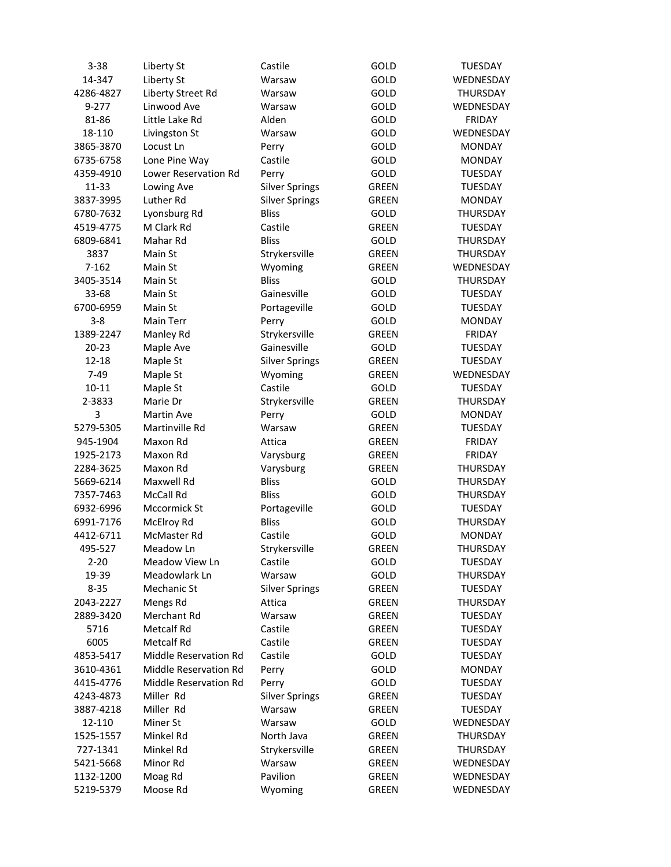| $3 - 38$        | Liberty St            | Castile               | GOLD                 | <b>TUESDAY</b>  |
|-----------------|-----------------------|-----------------------|----------------------|-----------------|
| 14-347          | Liberty St            | Warsaw                | GOLD                 | WEDNESDAY       |
| 4286-4827       | Liberty Street Rd     | Warsaw                | GOLD                 | THURSDAY        |
| $9 - 277$       | Linwood Ave           | Warsaw                | GOLD                 | WEDNESDAY       |
| 81-86           | Little Lake Rd        | Alden                 | GOLD                 | <b>FRIDAY</b>   |
| 18-110          | Livingston St         | Warsaw                | GOLD                 | WEDNESDAY       |
| 3865-3870       | Locust Ln             | Perry                 | GOLD                 | <b>MONDAY</b>   |
| 6735-6758       | Lone Pine Way         | Castile               | GOLD                 | <b>MONDAY</b>   |
| 4359-4910       | Lower Reservation Rd  | Perry                 | GOLD                 | <b>TUESDAY</b>  |
| 11-33           | Lowing Ave            | <b>Silver Springs</b> | <b>GREEN</b>         | <b>TUESDAY</b>  |
| 3837-3995       | Luther Rd             | <b>Silver Springs</b> | <b>GREEN</b>         | <b>MONDAY</b>   |
| 6780-7632       | Lyonsburg Rd          | <b>Bliss</b>          | GOLD                 | <b>THURSDAY</b> |
| 4519-4775       | M Clark Rd            | Castile               | <b>GREEN</b>         | TUESDAY         |
| 6809-6841       | Mahar Rd              | <b>Bliss</b>          | GOLD                 | <b>THURSDAY</b> |
| 3837            | Main St               | Strykersville         | <b>GREEN</b>         | THURSDAY        |
| 7-162           | Main St               | Wyoming               | <b>GREEN</b>         | WEDNESDAY       |
| 3405-3514       | Main St               | <b>Bliss</b>          | GOLD                 | THURSDAY        |
| 33-68           | Main St               | Gainesville           | GOLD                 | <b>TUESDAY</b>  |
| 6700-6959       | Main St               | Portageville          | GOLD                 | <b>TUESDAY</b>  |
| $3 - 8$         | Main Terr             | Perry                 | GOLD                 | <b>MONDAY</b>   |
| 1389-2247       | Manley Rd             | Strykersville         | <b>GREEN</b>         | <b>FRIDAY</b>   |
| $20 - 23$       | Maple Ave             | Gainesville           | GOLD                 | <b>TUESDAY</b>  |
| 12-18           | Maple St              | <b>Silver Springs</b> | <b>GREEN</b>         | <b>TUESDAY</b>  |
| $7-49$          | Maple St              | Wyoming               | <b>GREEN</b>         | WEDNESDAY       |
|                 |                       | Castile               |                      |                 |
| 10-11<br>2-3833 | Maple St<br>Marie Dr  |                       | GOLD<br><b>GREEN</b> | <b>TUESDAY</b>  |
|                 |                       | Strykersville         |                      | THURSDAY        |
| 3               | Martin Ave            | Perry                 | GOLD                 | <b>MONDAY</b>   |
| 5279-5305       | Martinville Rd        | Warsaw                | GREEN                | <b>TUESDAY</b>  |
| 945-1904        | Maxon Rd              | Attica                | GREEN                | FRIDAY          |
| 1925-2173       | Maxon Rd              | Varysburg             | <b>GREEN</b>         | FRIDAY          |
| 2284-3625       | Maxon Rd              | Varysburg             | GREEN                | THURSDAY        |
| 5669-6214       | Maxwell Rd            | <b>Bliss</b>          | GOLD                 | THURSDAY        |
| 7357-7463       | <b>McCall Rd</b>      | <b>Bliss</b>          | GOLD                 | <b>THURSDAY</b> |
| 6932-6996       | Mccormick St          | Portageville          | GOLD                 | <b>TUESDAY</b>  |
| 6991-7176       | McElroy Rd            | <b>Bliss</b>          | GOLD                 | THURSDAY        |
| 4412-6711       | McMaster Rd           | Castile               | GOLD                 | <b>MONDAY</b>   |
| 495-527         | Meadow Ln             | Strykersville         | GREEN                | <b>THURSDAY</b> |
| 2-20            | Meadow View Ln        | Castile               | GOLD                 | <b>TUESDAY</b>  |
| 19-39           | Meadowlark Ln         | Warsaw                | GOLD                 | THURSDAY        |
| $8 - 35$        | Mechanic St           | <b>Silver Springs</b> | GREEN                | <b>TUESDAY</b>  |
| 2043-2227       | Mengs Rd              | Attica                | GREEN                | THURSDAY        |
| 2889-3420       | Merchant Rd           | Warsaw                | <b>GREEN</b>         | <b>TUESDAY</b>  |
| 5716            | Metcalf Rd            | Castile               | <b>GREEN</b>         | <b>TUESDAY</b>  |
| 6005            | Metcalf Rd            | Castile               | <b>GREEN</b>         | <b>TUESDAY</b>  |
| 4853-5417       | Middle Reservation Rd | Castile               | GOLD                 | <b>TUESDAY</b>  |
| 3610-4361       | Middle Reservation Rd | Perry                 | GOLD                 | <b>MONDAY</b>   |
| 4415-4776       | Middle Reservation Rd | Perry                 | GOLD                 | <b>TUESDAY</b>  |
| 4243-4873       | Miller Rd             | <b>Silver Springs</b> | GREEN                | <b>TUESDAY</b>  |
| 3887-4218       | Miller Rd             | Warsaw                | GREEN                | <b>TUESDAY</b>  |
| 12-110          | Miner St              | Warsaw                | GOLD                 | WEDNESDAY       |
| 1525-1557       | Minkel Rd             | North Java            | GREEN                | THURSDAY        |
| 727-1341        | Minkel Rd             | Strykersville         | GREEN                | THURSDAY        |
| 5421-5668       | Minor Rd              | Warsaw                | GREEN                | WEDNESDAY       |
| 1132-1200       | Moag Rd               | Pavilion              | GREEN                | WEDNESDAY       |
| 5219-5379       | Moose Rd              | Wyoming               | GREEN                | WEDNESDAY       |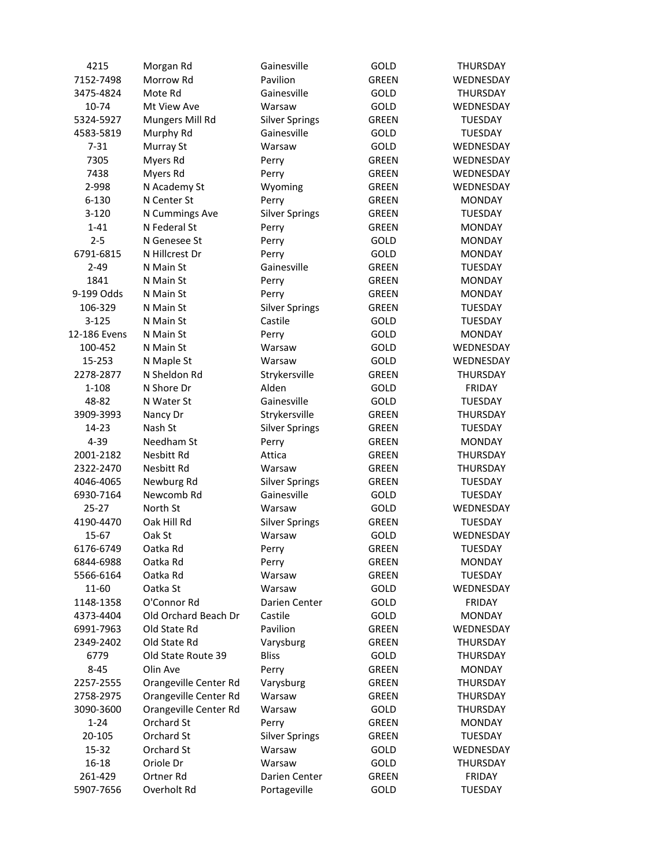| 4215              | Morgan Rd             | Gainesville               | GOLD         | THURSDAY                   |
|-------------------|-----------------------|---------------------------|--------------|----------------------------|
| 7152-7498         | Morrow Rd             | Pavilion                  | <b>GREEN</b> | WEDNESDAY                  |
| 3475-4824         | Mote Rd               | Gainesville               | GOLD         | THURSDAY                   |
| 10-74             | Mt View Ave           | Warsaw                    | GOLD         | WEDNESDAY                  |
| 5324-5927         | Mungers Mill Rd       | <b>Silver Springs</b>     | <b>GREEN</b> | <b>TUESDAY</b>             |
| 4583-5819         | Murphy Rd             | Gainesville               | GOLD         | <b>TUESDAY</b>             |
| $7 - 31$          | Murray St             | Warsaw                    | GOLD         | WEDNESDAY                  |
| 7305              | Myers Rd              | Perry                     | <b>GREEN</b> | WEDNESDAY                  |
| 7438              | Myers Rd              | Perry                     | <b>GREEN</b> | WEDNESDAY                  |
| 2-998             | N Academy St          | Wyoming                   | <b>GREEN</b> | WEDNESDAY                  |
| 6-130             | N Center St           | Perry                     | <b>GREEN</b> | <b>MONDAY</b>              |
| $3 - 120$         | N Cummings Ave        | <b>Silver Springs</b>     | <b>GREEN</b> | <b>TUESDAY</b>             |
| $1 - 41$          | N Federal St          | Perry                     | <b>GREEN</b> | <b>MONDAY</b>              |
| $2 - 5$           | N Genesee St          | Perry                     | GOLD         | <b>MONDAY</b>              |
| 6791-6815         | N Hillcrest Dr        | Perry                     | GOLD         | <b>MONDAY</b>              |
| $2 - 49$          | N Main St             | Gainesville               | GREEN        | <b>TUESDAY</b>             |
| 1841              | N Main St             | Perry                     | <b>GREEN</b> | <b>MONDAY</b>              |
| 9-199 Odds        | N Main St             | Perry                     | <b>GREEN</b> | <b>MONDAY</b>              |
| 106-329           | N Main St             | <b>Silver Springs</b>     | <b>GREEN</b> | <b>TUESDAY</b>             |
| $3 - 125$         | N Main St             | Castile                   | GOLD         | <b>TUESDAY</b>             |
| 12-186 Evens      | N Main St             | Perry                     | GOLD         | <b>MONDAY</b>              |
| 100-452           | N Main St             | Warsaw                    | GOLD         | WEDNESDAY                  |
| 15-253            | N Maple St            | Warsaw                    | GOLD         | WEDNESDAY                  |
| 2278-2877         | N Sheldon Rd          | Strykersville             | <b>GREEN</b> | <b>THURSDAY</b>            |
| 1-108             | N Shore Dr            | Alden                     | GOLD         | <b>FRIDAY</b>              |
| 48-82             | N Water St            | Gainesville               | GOLD         | <b>TUESDAY</b>             |
| 3909-3993         | Nancy Dr              | Strykersville             | <b>GREEN</b> | <b>THURSDAY</b>            |
| 14-23             | Nash St               | <b>Silver Springs</b>     | GREEN        | <b>TUESDAY</b>             |
| 4-39              | Needham St            | Perry                     | <b>GREEN</b> | <b>MONDAY</b>              |
| 2001-2182         | Nesbitt Rd            | Attica                    | <b>GREEN</b> | THURSDAY                   |
| 2322-2470         | Nesbitt Rd            | Warsaw                    | <b>GREEN</b> | THURSDAY                   |
| 4046-4065         | Newburg Rd            | <b>Silver Springs</b>     | GREEN        | <b>TUESDAY</b>             |
| 6930-7164         | Newcomb Rd            | Gainesville               | GOLD         | <b>TUESDAY</b>             |
| $25 - 27$         | North St              | Warsaw                    | GOLD         | WEDNESDAY                  |
| 4190-4470         | Oak Hill Rd           | <b>Silver Springs</b>     | GREEN        | <b>TUESDAY</b>             |
| 15-67             | Oak St                | Warsaw                    | GOLD         | WEDNESDAY                  |
| 6176-6749         | Oatka Rd              |                           | <b>GREEN</b> | <b>TUESDAY</b>             |
| 6844-6988         | Oatka Rd              | Perry                     | <b>GREEN</b> | <b>MONDAY</b>              |
| 5566-6164         | Oatka Rd              | Perry<br>Warsaw           | <b>GREEN</b> | <b>TUESDAY</b>             |
| 11-60             | Oatka St              | Warsaw                    |              |                            |
| 1148-1358         | O'Connor Rd           | Darien Center             | GOLD<br>GOLD | WEDNESDAY<br><b>FRIDAY</b> |
| 4373-4404         | Old Orchard Beach Dr  | Castile                   |              |                            |
|                   | Old State Rd          | Pavilion                  | GOLD         | <b>MONDAY</b>              |
| 6991-7963         |                       |                           | GREEN        | WEDNESDAY                  |
| 2349-2402<br>6779 | Old State Rd          | Varysburg<br><b>Bliss</b> | <b>GREEN</b> | THURSDAY                   |
| $8 - 45$          | Old State Route 39    |                           | GOLD         | THURSDAY                   |
|                   | Olin Ave              | Perry                     | <b>GREEN</b> | <b>MONDAY</b>              |
| 2257-2555         | Orangeville Center Rd | Varysburg                 | <b>GREEN</b> | THURSDAY                   |
| 2758-2975         | Orangeville Center Rd | Warsaw                    | <b>GREEN</b> | THURSDAY                   |
| 3090-3600         | Orangeville Center Rd | Warsaw                    | GOLD         | <b>THURSDAY</b>            |
| $1 - 24$          | Orchard St            | Perry                     | <b>GREEN</b> | <b>MONDAY</b>              |
| 20-105            | Orchard St            | <b>Silver Springs</b>     | GREEN        | <b>TUESDAY</b>             |
| 15-32             | Orchard St            | Warsaw                    | GOLD         | WEDNESDAY                  |
| 16-18             | Oriole Dr             | Warsaw                    | GOLD         | <b>THURSDAY</b>            |
| 261-429           | Ortner Rd             | Darien Center             | GREEN        | FRIDAY                     |
| 5907-7656         | Overholt Rd           | Portageville              | GOLD         | <b>TUESDAY</b>             |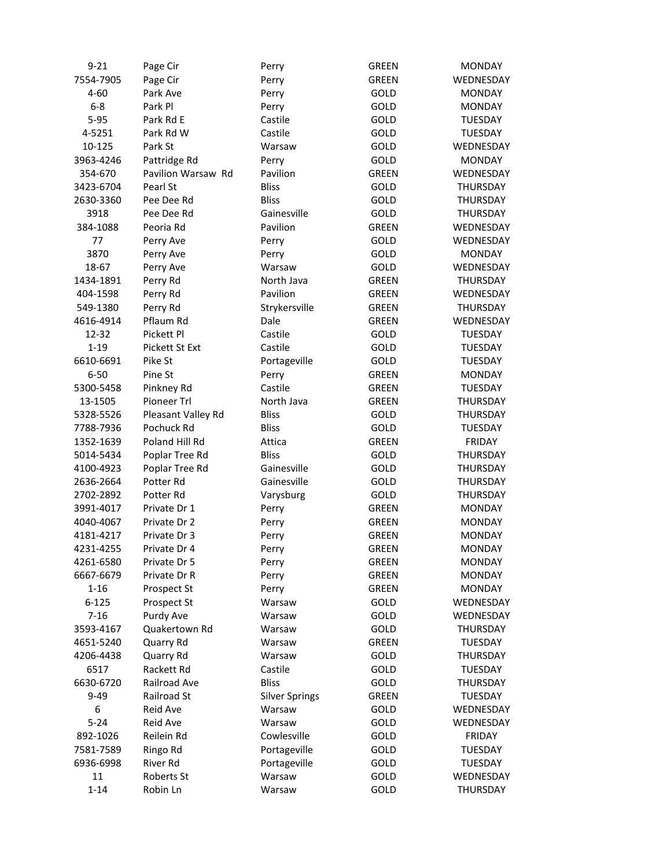| $9 - 21$  | Page Cir           | Perry                 | <b>GREEN</b> | <b>MONDAY</b>   |
|-----------|--------------------|-----------------------|--------------|-----------------|
| 7554-7905 | Page Cir           | Perry                 | <b>GREEN</b> | WEDNESDAY       |
| $4 - 60$  | Park Ave           | Perry                 | GOLD         | <b>MONDAY</b>   |
| $6-8$     | Park Pl            | Perry                 | GOLD         | <b>MONDAY</b>   |
| $5 - 95$  | Park Rd E          | Castile               | GOLD         | <b>TUESDAY</b>  |
| 4-5251    | Park Rd W          | Castile               | GOLD         | <b>TUESDAY</b>  |
| 10-125    | Park St            | Warsaw                | GOLD         | WEDNESDAY       |
| 3963-4246 | Pattridge Rd       | Perry                 | GOLD         | <b>MONDAY</b>   |
| 354-670   | Pavilion Warsaw Rd | Pavilion              | <b>GREEN</b> | WEDNESDAY       |
| 3423-6704 | Pearl St           | <b>Bliss</b>          | GOLD         | THURSDAY        |
| 2630-3360 | Pee Dee Rd         | <b>Bliss</b>          | GOLD         | <b>THURSDAY</b> |
| 3918      | Pee Dee Rd         | Gainesville           | GOLD         | <b>THURSDAY</b> |
| 384-1088  | Peoria Rd          | Pavilion              | <b>GREEN</b> | WEDNESDAY       |
| 77        | Perry Ave          | Perry                 | GOLD         | WEDNESDAY       |
| 3870      | Perry Ave          | Perry                 | GOLD         | <b>MONDAY</b>   |
| 18-67     | Perry Ave          | Warsaw                | GOLD         | WEDNESDAY       |
| 1434-1891 | Perry Rd           | North Java            | <b>GREEN</b> | THURSDAY        |
| 404-1598  | Perry Rd           | Pavilion              | <b>GREEN</b> | WEDNESDAY       |
| 549-1380  | Perry Rd           | Strykersville         | <b>GREEN</b> | THURSDAY        |
| 4616-4914 | Pflaum Rd          | Dale                  | <b>GREEN</b> | WEDNESDAY       |
| 12-32     | Pickett Pl         | Castile               | GOLD         | <b>TUESDAY</b>  |
| $1 - 19$  | Pickett St Ext     | Castile               | GOLD         | <b>TUESDAY</b>  |
| 6610-6691 | Pike St            | Portageville          | GOLD         | <b>TUESDAY</b>  |
| $6 - 50$  | Pine St            | Perry                 | <b>GREEN</b> | <b>MONDAY</b>   |
| 5300-5458 | Pinkney Rd         | Castile               | <b>GREEN</b> | <b>TUESDAY</b>  |
| 13-1505   | Pioneer Trl        | North Java            | <b>GREEN</b> | <b>THURSDAY</b> |
| 5328-5526 | Pleasant Valley Rd | <b>Bliss</b>          | GOLD         | <b>THURSDAY</b> |
| 7788-7936 | Pochuck Rd         | <b>Bliss</b>          | GOLD         | <b>TUESDAY</b>  |
| 1352-1639 | Poland Hill Rd     | Attica                | <b>GREEN</b> | FRIDAY          |
| 5014-5434 | Poplar Tree Rd     | <b>Bliss</b>          | GOLD         | THURSDAY        |
| 4100-4923 | Poplar Tree Rd     | Gainesville           | GOLD         | THURSDAY        |
| 2636-2664 | Potter Rd          | Gainesville           | GOLD         | THURSDAY        |
| 2702-2892 | Potter Rd          | Varysburg             | GOLD         | THURSDAY        |
| 3991-4017 | Private Dr 1       | Perry                 | GREEN        | <b>MONDAY</b>   |
| 4040-4067 | Private Dr 2       | Perry                 | GREEN        | <b>MONDAY</b>   |
| 4181-4217 | Private Dr 3       | Perry                 | <b>GREEN</b> | <b>MONDAY</b>   |
| 4231-4255 | Private Dr 4       | Perry                 | <b>GREEN</b> | <b>MONDAY</b>   |
| 4261-6580 | Private Dr 5       | Perry                 | <b>GREEN</b> | <b>MONDAY</b>   |
| 6667-6679 | Private Dr R       | Perry                 | <b>GREEN</b> | <b>MONDAY</b>   |
| $1 - 16$  | Prospect St        | Perry                 | <b>GREEN</b> | <b>MONDAY</b>   |
| $6 - 125$ | Prospect St        | Warsaw                | GOLD         | WEDNESDAY       |
| $7 - 16$  | Purdy Ave          | Warsaw                | GOLD         | WEDNESDAY       |
| 3593-4167 | Quakertown Rd      | Warsaw                | GOLD         | THURSDAY        |
| 4651-5240 | Quarry Rd          | Warsaw                | <b>GREEN</b> | <b>TUESDAY</b>  |
| 4206-4438 | Quarry Rd          | Warsaw                | GOLD         | THURSDAY        |
| 6517      | Rackett Rd         | Castile               | GOLD         | <b>TUESDAY</b>  |
| 6630-6720 | Railroad Ave       | <b>Bliss</b>          | GOLD         | <b>THURSDAY</b> |
| $9 - 49$  | Railroad St        | <b>Silver Springs</b> | GREEN        | <b>TUESDAY</b>  |
| 6         | Reid Ave           | Warsaw                | GOLD         | WEDNESDAY       |
| $5 - 24$  | Reid Ave           | Warsaw                | GOLD         | WEDNESDAY       |
| 892-1026  | Reilein Rd         | Cowlesville           | GOLD         | <b>FRIDAY</b>   |
| 7581-7589 | Ringo Rd           | Portageville          | GOLD         | <b>TUESDAY</b>  |
| 6936-6998 | River Rd           | Portageville          | GOLD         | <b>TUESDAY</b>  |
| 11        | Roberts St         | Warsaw                | GOLD         | WEDNESDAY       |
| $1 - 14$  | Robin Ln           | Warsaw                | GOLD         | THURSDAY        |
|           |                    |                       |              |                 |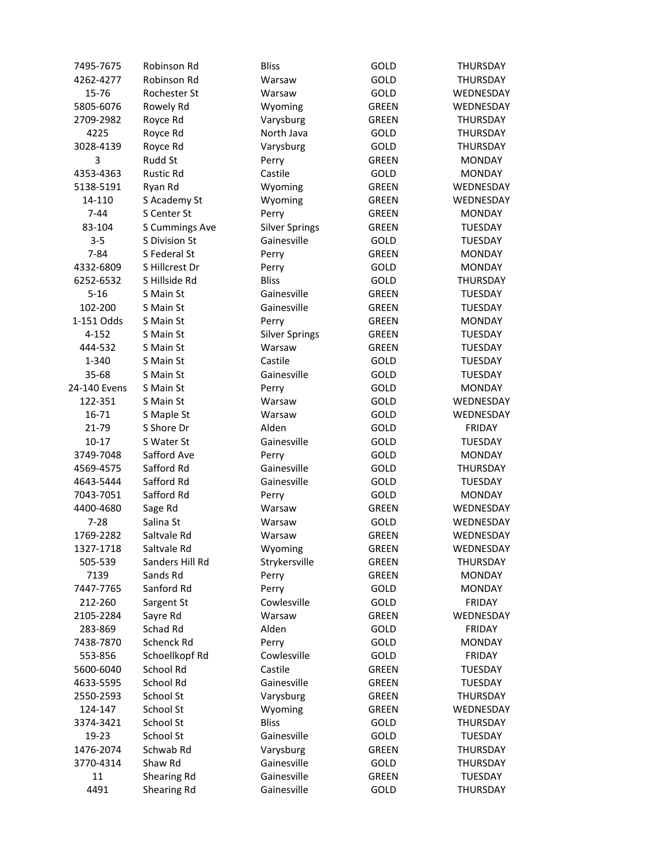| 7495-7675    | Robinson Rd     | <b>Bliss</b>          | GOLD         | THURSDAY        |
|--------------|-----------------|-----------------------|--------------|-----------------|
| 4262-4277    | Robinson Rd     | Warsaw                | GOLD         | THURSDAY        |
| 15-76        | Rochester St    | Warsaw                | GOLD         | WEDNESDAY       |
| 5805-6076    | Rowely Rd       | Wyoming               | <b>GREEN</b> | WEDNESDAY       |
| 2709-2982    | Royce Rd        | Varysburg             | <b>GREEN</b> | THURSDAY        |
| 4225         | Royce Rd        | North Java            | GOLD         | THURSDAY        |
| 3028-4139    | Royce Rd        | Varysburg             | GOLD         | THURSDAY        |
| 3            | Rudd St         | Perry                 | <b>GREEN</b> | <b>MONDAY</b>   |
| 4353-4363    | Rustic Rd       | Castile               | GOLD         | <b>MONDAY</b>   |
| 5138-5191    | Ryan Rd         | Wyoming               | <b>GREEN</b> | WEDNESDAY       |
| 14-110       | S Academy St    | Wyoming               | <b>GREEN</b> | WEDNESDAY       |
| $7 - 44$     | S Center St     | Perry                 | <b>GREEN</b> | <b>MONDAY</b>   |
| 83-104       | S Cummings Ave  | <b>Silver Springs</b> | <b>GREEN</b> | <b>TUESDAY</b>  |
| $3 - 5$      | S Division St   | Gainesville           | GOLD         | <b>TUESDAY</b>  |
| $7 - 84$     | S Federal St    | Perry                 | <b>GREEN</b> | <b>MONDAY</b>   |
| 4332-6809    | S Hillcrest Dr  | Perry                 | GOLD         | <b>MONDAY</b>   |
| 6252-6532    | S Hillside Rd   | <b>Bliss</b>          | GOLD         | THURSDAY        |
| $5 - 16$     | S Main St       | Gainesville           | <b>GREEN</b> | <b>TUESDAY</b>  |
| 102-200      | S Main St       | Gainesville           | GREEN        | <b>TUESDAY</b>  |
| 1-151 Odds   | S Main St       | Perry                 | <b>GREEN</b> | <b>MONDAY</b>   |
| $4 - 152$    | S Main St       | <b>Silver Springs</b> | <b>GREEN</b> | <b>TUESDAY</b>  |
| 444-532      | S Main St       | Warsaw                | <b>GREEN</b> | <b>TUESDAY</b>  |
| 1-340        | S Main St       | Castile               | <b>GOLD</b>  | <b>TUESDAY</b>  |
| 35-68        | S Main St       | Gainesville           | GOLD         | <b>TUESDAY</b>  |
| 24-140 Evens | S Main St       | Perry                 | GOLD         | <b>MONDAY</b>   |
| 122-351      | S Main St       | Warsaw                | GOLD         | WEDNESDAY       |
| 16-71        | S Maple St      | Warsaw                | <b>GOLD</b>  | WEDNESDAY       |
| 21-79        | S Shore Dr      | Alden                 | GOLD         | <b>FRIDAY</b>   |
| $10 - 17$    | S Water St      | Gainesville           | GOLD         | TUESDAY         |
| 3749-7048    | Safford Ave     | Perry                 | GOLD         | <b>MONDAY</b>   |
| 4569-4575    | Safford Rd      | Gainesville           | GOLD         | THURSDAY        |
| 4643-5444    | Safford Rd      | Gainesville           | GOLD         | TUESDAY         |
| 7043-7051    | Safford Rd      | Perry                 | GOLD         | <b>MONDAY</b>   |
| 4400-4680    | Sage Rd         | Warsaw                | <b>GREEN</b> | WEDNESDAY       |
| $7 - 28$     | Salina St       | Warsaw                | GOLD         | WEDNESDAY       |
| 1769-2282    | Saltvale Rd     | Warsaw                | <b>GREEN</b> | WEDNESDAY       |
| 1327-1718    | Saltvale Rd     | Wyoming               | <b>GREEN</b> | WEDNESDAY       |
| 505-539      | Sanders Hill Rd | Strykersville         | <b>GREEN</b> | THURSDAY        |
| 7139         | Sands Rd        | Perry                 | <b>GREEN</b> | <b>MONDAY</b>   |
| 7447-7765    | Sanford Rd      | Perry                 | GOLD         | <b>MONDAY</b>   |
| 212-260      | Sargent St      | Cowlesville           | GOLD         | <b>FRIDAY</b>   |
| 2105-2284    | Sayre Rd        | Warsaw                | <b>GREEN</b> | WEDNESDAY       |
| 283-869      | Schad Rd        | Alden                 | GOLD         | FRIDAY          |
| 7438-7870    | Schenck Rd      | Perry                 | GOLD         | <b>MONDAY</b>   |
| 553-856      | Schoellkopf Rd  | Cowlesville           | GOLD         | FRIDAY          |
| 5600-6040    | School Rd       | Castile               | <b>GREEN</b> | <b>TUESDAY</b>  |
| 4633-5595    | School Rd       | Gainesville           | <b>GREEN</b> | <b>TUESDAY</b>  |
| 2550-2593    | School St       | Varysburg             | GREEN        | THURSDAY        |
| 124-147      | School St       | Wyoming               | <b>GREEN</b> | WEDNESDAY       |
| 3374-3421    | School St       | <b>Bliss</b>          | GOLD         | <b>THURSDAY</b> |
| 19-23        | School St       | Gainesville           | GOLD         | TUESDAY         |
| 1476-2074    | Schwab Rd       | Varysburg             | <b>GREEN</b> | THURSDAY        |
| 3770-4314    | Shaw Rd         | Gainesville           | GOLD         | THURSDAY        |
| 11           | Shearing Rd     | Gainesville           | GREEN        | <b>TUESDAY</b>  |
| 4491         | Shearing Rd     | Gainesville           | GOLD         | THURSDAY        |
|              |                 |                       |              |                 |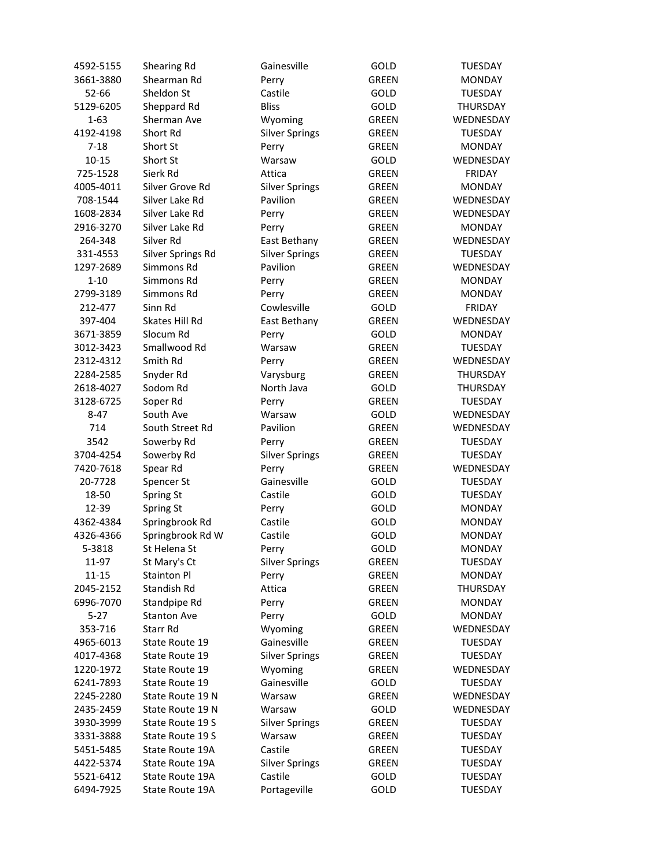| 4592-5155 | Shearing Rd        | Gainesville           | GOLD         | <b>TUESDAY</b>  |
|-----------|--------------------|-----------------------|--------------|-----------------|
| 3661-3880 | Shearman Rd        | Perry                 | <b>GREEN</b> | <b>MONDAY</b>   |
| 52-66     | Sheldon St         | Castile               | GOLD         | <b>TUESDAY</b>  |
| 5129-6205 | Sheppard Rd        | <b>Bliss</b>          | GOLD         | <b>THURSDAY</b> |
| $1 - 63$  | Sherman Ave        | Wyoming               | <b>GREEN</b> | WEDNESDAY       |
| 4192-4198 | Short Rd           | <b>Silver Springs</b> | GREEN        | <b>TUESDAY</b>  |
| $7 - 18$  | Short St           | Perry                 | <b>GREEN</b> | <b>MONDAY</b>   |
| $10 - 15$ | Short St           | Warsaw                | <b>GOLD</b>  | WEDNESDAY       |
| 725-1528  | Sierk Rd           | Attica                | <b>GREEN</b> | <b>FRIDAY</b>   |
| 4005-4011 | Silver Grove Rd    | <b>Silver Springs</b> | <b>GREEN</b> | <b>MONDAY</b>   |
| 708-1544  | Silver Lake Rd     | Pavilion              | <b>GREEN</b> | WEDNESDAY       |
| 1608-2834 | Silver Lake Rd     | Perry                 | <b>GREEN</b> | WEDNESDAY       |
| 2916-3270 | Silver Lake Rd     | Perry                 | <b>GREEN</b> | <b>MONDAY</b>   |
| 264-348   | Silver Rd          | East Bethany          | <b>GREEN</b> | WEDNESDAY       |
| 331-4553  | Silver Springs Rd  | <b>Silver Springs</b> | <b>GREEN</b> | <b>TUESDAY</b>  |
| 1297-2689 | Simmons Rd         | Pavilion              | <b>GREEN</b> | WEDNESDAY       |
| $1 - 10$  | Simmons Rd         | Perry                 | <b>GREEN</b> | <b>MONDAY</b>   |
| 2799-3189 | Simmons Rd         | Perry                 | <b>GREEN</b> | <b>MONDAY</b>   |
| 212-477   | Sinn Rd            | Cowlesville           | GOLD         | FRIDAY          |
| 397-404   | Skates Hill Rd     | East Bethany          | <b>GREEN</b> | WEDNESDAY       |
| 3671-3859 | Slocum Rd          | Perry                 | GOLD         | <b>MONDAY</b>   |
| 3012-3423 | Smallwood Rd       | Warsaw                | <b>GREEN</b> | <b>TUESDAY</b>  |
| 2312-4312 | Smith Rd           | Perry                 | <b>GREEN</b> | WEDNESDAY       |
| 2284-2585 | Snyder Rd          | Varysburg             | <b>GREEN</b> | THURSDAY        |
| 2618-4027 | Sodom Rd           | North Java            | GOLD         | <b>THURSDAY</b> |
| 3128-6725 | Soper Rd           | Perry                 | <b>GREEN</b> | <b>TUESDAY</b>  |
| $8 - 47$  | South Ave          | Warsaw                | GOLD         | WEDNESDAY       |
| 714       | South Street Rd    | Pavilion              | <b>GREEN</b> | WEDNESDAY       |
| 3542      | Sowerby Rd         | Perry                 | GREEN        | <b>TUESDAY</b>  |
| 3704-4254 | Sowerby Rd         | <b>Silver Springs</b> | GREEN        | <b>TUESDAY</b>  |
| 7420-7618 | Spear Rd           | Perry                 | <b>GREEN</b> | WEDNESDAY       |
| 20-7728   | Spencer St         | Gainesville           | GOLD         | <b>TUESDAY</b>  |
| 18-50     | Spring St          | Castile               | GOLD         | <b>TUESDAY</b>  |
| 12-39     | Spring St          | Perry                 | GOLD         | <b>MONDAY</b>   |
| 4362-4384 | Springbrook Rd     | Castile               | GOLD         | <b>MONDAY</b>   |
| 4326-4366 | Springbrook Rd W   | Castile               | GOLD         | <b>MONDAY</b>   |
| 5-3818    | St Helena St       | Perry                 | GOLD         | <b>MONDAY</b>   |
| 11-97     | St Mary's Ct       | <b>Silver Springs</b> | GREEN        | <b>TUESDAY</b>  |
| $11 - 15$ | Stainton Pl        | Perry                 | <b>GREEN</b> | <b>MONDAY</b>   |
| 2045-2152 | Standish Rd        | Attica                | GREEN        | THURSDAY        |
| 6996-7070 | Standpipe Rd       | Perry                 | <b>GREEN</b> | <b>MONDAY</b>   |
| $5 - 27$  | <b>Stanton Ave</b> | Perry                 | GOLD         | <b>MONDAY</b>   |
| 353-716   | Starr Rd           | Wyoming               | GREEN        | WEDNESDAY       |
| 4965-6013 | State Route 19     | Gainesville           | <b>GREEN</b> | <b>TUESDAY</b>  |
| 4017-4368 | State Route 19     | <b>Silver Springs</b> | <b>GREEN</b> | <b>TUESDAY</b>  |
| 1220-1972 | State Route 19     | Wyoming               | <b>GREEN</b> | WEDNESDAY       |
| 6241-7893 | State Route 19     | Gainesville           | GOLD         | <b>TUESDAY</b>  |
| 2245-2280 | State Route 19 N   | Warsaw                | GREEN        | WEDNESDAY       |
| 2435-2459 | State Route 19 N   | Warsaw                | GOLD         | WEDNESDAY       |
| 3930-3999 | State Route 19 S   | <b>Silver Springs</b> | GREEN        | <b>TUESDAY</b>  |
| 3331-3888 | State Route 19 S   | Warsaw                | GREEN        | <b>TUESDAY</b>  |
| 5451-5485 | State Route 19A    | Castile               | GREEN        | <b>TUESDAY</b>  |
| 4422-5374 | State Route 19A    | <b>Silver Springs</b> | GREEN        | <b>TUESDAY</b>  |
| 5521-6412 | State Route 19A    | Castile               | GOLD         | <b>TUESDAY</b>  |
| 6494-7925 | State Route 19A    | Portageville          | GOLD         | <b>TUESDAY</b>  |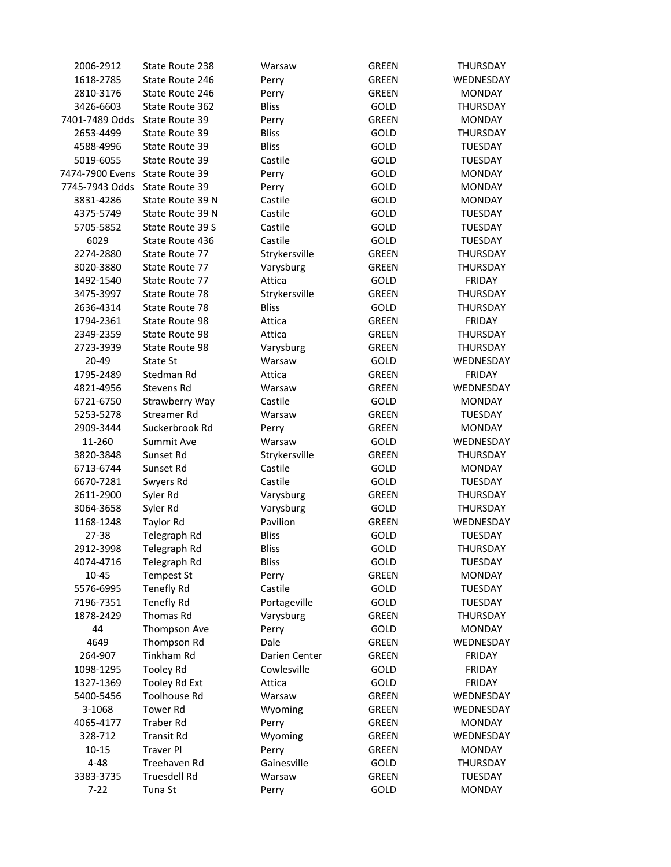| 2006-2912       | State Route 238     | Warsaw        | <b>GREEN</b> | <b>THURSDAY</b> |
|-----------------|---------------------|---------------|--------------|-----------------|
| 1618-2785       | State Route 246     | Perry         | <b>GREEN</b> | WEDNESDAY       |
| 2810-3176       | State Route 246     | Perry         | <b>GREEN</b> | <b>MONDAY</b>   |
| 3426-6603       | State Route 362     | <b>Bliss</b>  | GOLD         | THURSDAY        |
| 7401-7489 Odds  | State Route 39      | Perry         | <b>GREEN</b> | <b>MONDAY</b>   |
| 2653-4499       | State Route 39      | <b>Bliss</b>  | GOLD         | <b>THURSDAY</b> |
| 4588-4996       | State Route 39      | <b>Bliss</b>  | GOLD         | <b>TUESDAY</b>  |
| 5019-6055       | State Route 39      | Castile       | GOLD         | TUESDAY         |
| 7474-7900 Evens | State Route 39      | Perry         | GOLD         | <b>MONDAY</b>   |
| 7745-7943 Odds  | State Route 39      | Perry         | GOLD         | <b>MONDAY</b>   |
| 3831-4286       | State Route 39 N    | Castile       | GOLD         | <b>MONDAY</b>   |
| 4375-5749       | State Route 39 N    | Castile       | GOLD         | <b>TUESDAY</b>  |
| 5705-5852       | State Route 39 S    | Castile       | GOLD         | <b>TUESDAY</b>  |
| 6029            | State Route 436     | Castile       | GOLD         | TUESDAY         |
| 2274-2880       | State Route 77      | Strykersville | <b>GREEN</b> | THURSDAY        |
|                 |                     |               |              |                 |
| 3020-3880       | State Route 77      | Varysburg     | <b>GREEN</b> | <b>THURSDAY</b> |
| 1492-1540       | State Route 77      | Attica        | GOLD         | <b>FRIDAY</b>   |
| 3475-3997       | State Route 78      | Strykersville | <b>GREEN</b> | <b>THURSDAY</b> |
| 2636-4314       | State Route 78      | <b>Bliss</b>  | GOLD         | <b>THURSDAY</b> |
| 1794-2361       | State Route 98      | Attica        | <b>GREEN</b> | <b>FRIDAY</b>   |
| 2349-2359       | State Route 98      | Attica        | <b>GREEN</b> | THURSDAY        |
| 2723-3939       | State Route 98      | Varysburg     | <b>GREEN</b> | THURSDAY        |
| 20-49           | State St            | Warsaw        | GOLD         | WEDNESDAY       |
| 1795-2489       | Stedman Rd          | Attica        | <b>GREEN</b> | <b>FRIDAY</b>   |
| 4821-4956       | Stevens Rd          | Warsaw        | <b>GREEN</b> | WEDNESDAY       |
| 6721-6750       | Strawberry Way      | Castile       | <b>GOLD</b>  | <b>MONDAY</b>   |
| 5253-5278       | Streamer Rd         | Warsaw        | <b>GREEN</b> | <b>TUESDAY</b>  |
| 2909-3444       | Suckerbrook Rd      | Perry         | <b>GREEN</b> | <b>MONDAY</b>   |
| 11-260          | Summit Ave          | Warsaw        | GOLD         | WEDNESDAY       |
| 3820-3848       | Sunset Rd           | Strykersville | <b>GREEN</b> | THURSDAY        |
| 6713-6744       | Sunset Rd           | Castile       | GOLD         | <b>MONDAY</b>   |
| 6670-7281       | Swyers Rd           | Castile       | GOLD         | <b>TUESDAY</b>  |
| 2611-2900       | Syler Rd            | Varysburg     | <b>GREEN</b> | THURSDAY        |
| 3064-3658       | Syler Rd            | Varysburg     | GOLD         | THURSDAY        |
| 1168-1248       | Taylor Rd           | Pavilion      | <b>GREEN</b> | WEDNESDAY       |
| 27-38           | Telegraph Rd        | <b>Bliss</b>  | GOLD         | <b>TUESDAY</b>  |
| 2912-3998       | Telegraph Rd        | <b>Bliss</b>  | GOLD         | THURSDAY        |
| 4074-4716       | Telegraph Rd        | <b>Bliss</b>  | GOLD         | <b>TUESDAY</b>  |
| 10-45           | <b>Tempest St</b>   | Perry         | <b>GREEN</b> | <b>MONDAY</b>   |
| 5576-6995       | Tenefly Rd          | Castile       | GOLD         | <b>TUESDAY</b>  |
| 7196-7351       | Tenefly Rd          | Portageville  | GOLD         | <b>TUESDAY</b>  |
| 1878-2429       | Thomas Rd           | Varysburg     | <b>GREEN</b> | THURSDAY        |
| 44              | Thompson Ave        | Perry         | GOLD         | <b>MONDAY</b>   |
| 4649            | Thompson Rd         | Dale          | <b>GREEN</b> | WEDNESDAY       |
| 264-907         | <b>Tinkham Rd</b>   | Darien Center | <b>GREEN</b> | <b>FRIDAY</b>   |
| 1098-1295       | <b>Tooley Rd</b>    | Cowlesville   | GOLD         | <b>FRIDAY</b>   |
| 1327-1369       | Tooley Rd Ext       | Attica        | GOLD         | <b>FRIDAY</b>   |
| 5400-5456       | <b>Toolhouse Rd</b> | Warsaw        | GREEN        | WEDNESDAY       |
| 3-1068          | Tower Rd            | Wyoming       | <b>GREEN</b> | WEDNESDAY       |
| 4065-4177       | <b>Traber Rd</b>    | Perry         | <b>GREEN</b> | <b>MONDAY</b>   |
| 328-712         | <b>Transit Rd</b>   | Wyoming       | GREEN        | WEDNESDAY       |
| $10 - 15$       | <b>Traver Pl</b>    | Perry         | <b>GREEN</b> | <b>MONDAY</b>   |
| 4-48            | Treehaven Rd        | Gainesville   | GOLD         | THURSDAY        |
| 3383-3735       | <b>Truesdell Rd</b> | Warsaw        | <b>GREEN</b> | <b>TUESDAY</b>  |
| $7 - 22$        | Tuna St             | Perry         | GOLD         | <b>MONDAY</b>   |
|                 |                     |               |              |                 |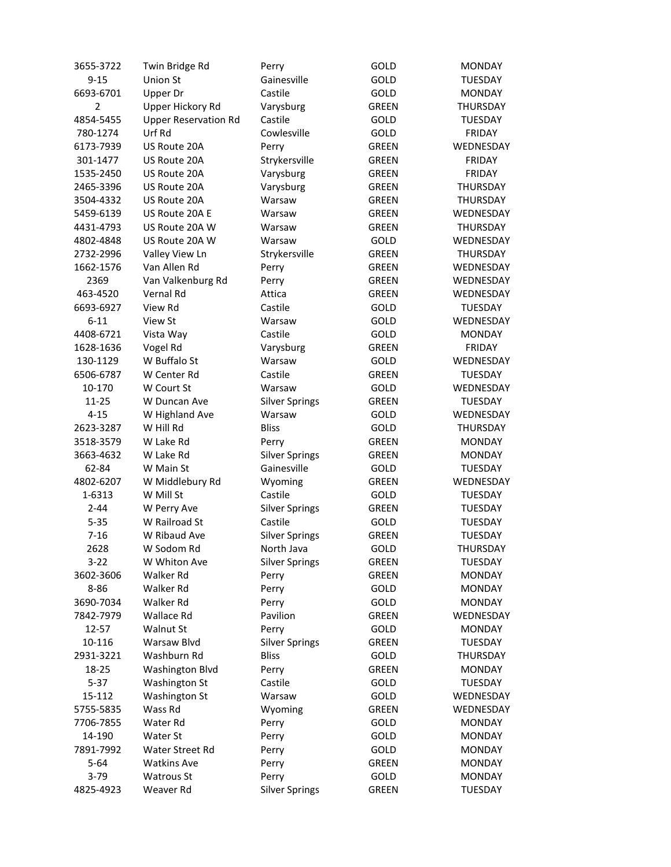| 3655-3722      | Twin Bridge Rd              | Perry                 | <b>GOLD</b>  | <b>MONDAY</b>    |
|----------------|-----------------------------|-----------------------|--------------|------------------|
| $9 - 15$       | Union St                    | Gainesville           | GOLD         | <b>TUESDAY</b>   |
| 6693-6701      | Upper Dr                    | Castile               | GOLD         | <b>MONDAY</b>    |
| $\overline{2}$ | Upper Hickory Rd            | Varysburg             | <b>GREEN</b> | THURSDAY         |
| 4854-5455      | <b>Upper Reservation Rd</b> | Castile               | GOLD         | <b>TUESDAY</b>   |
| 780-1274       | Urf Rd                      | Cowlesville           | GOLD         | FRIDAY           |
| 6173-7939      | US Route 20A                | Perry                 | <b>GREEN</b> | WEDNESDAY        |
| 301-1477       | US Route 20A                | Strykersville         | <b>GREEN</b> | <b>FRIDAY</b>    |
| 1535-2450      | US Route 20A                | Varysburg             | <b>GREEN</b> | <b>FRIDAY</b>    |
| 2465-3396      | US Route 20A                | Varysburg             | <b>GREEN</b> | THURSDAY         |
| 3504-4332      | US Route 20A                | Warsaw                | <b>GREEN</b> | <b>THURSDAY</b>  |
| 5459-6139      | US Route 20A E              | Warsaw                | <b>GREEN</b> | <b>WEDNESDAY</b> |
| 4431-4793      | US Route 20A W              | Warsaw                | <b>GREEN</b> | <b>THURSDAY</b>  |
| 4802-4848      | US Route 20A W              | Warsaw                | GOLD         | WEDNESDAY        |
| 2732-2996      | Valley View Ln              | Strykersville         | <b>GREEN</b> | THURSDAY         |
| 1662-1576      | Van Allen Rd                | Perry                 | <b>GREEN</b> | WEDNESDAY        |
| 2369           | Van Valkenburg Rd           | Perry                 | <b>GREEN</b> | WEDNESDAY        |
| 463-4520       | Vernal Rd                   | Attica                | <b>GREEN</b> | WEDNESDAY        |
| 6693-6927      | View Rd                     | Castile               | GOLD         | <b>TUESDAY</b>   |
| $6 - 11$       | View St                     | Warsaw                | GOLD         | WEDNESDAY        |
| 4408-6721      | Vista Way                   | Castile               | <b>GOLD</b>  | <b>MONDAY</b>    |
| 1628-1636      | Vogel Rd                    | Varysburg             | <b>GREEN</b> | <b>FRIDAY</b>    |
| 130-1129       | W Buffalo St                | Warsaw                | <b>GOLD</b>  | WEDNESDAY        |
| 6506-6787      | W Center Rd                 | Castile               | <b>GREEN</b> | <b>TUESDAY</b>   |
| 10-170         | W Court St                  | Warsaw                | GOLD         | WEDNESDAY        |
| 11-25          | W Duncan Ave                | <b>Silver Springs</b> | <b>GREEN</b> | <b>TUESDAY</b>   |
| $4 - 15$       | W Highland Ave              | Warsaw                | GOLD         | WEDNESDAY        |
| 2623-3287      | W Hill Rd                   | <b>Bliss</b>          | GOLD         | THURSDAY         |
| 3518-3579      | W Lake Rd                   | Perry                 | GREEN        | <b>MONDAY</b>    |
| 3663-4632      | W Lake Rd                   | <b>Silver Springs</b> | GREEN        | <b>MONDAY</b>    |
| 62-84          | W Main St                   | Gainesville           | GOLD         | <b>TUESDAY</b>   |
| 4802-6207      | W Middlebury Rd             | Wyoming               | <b>GREEN</b> | WEDNESDAY        |
| 1-6313         | W Mill St                   | Castile               | <b>GOLD</b>  | <b>TUESDAY</b>   |
| $2 - 44$       | W Perry Ave                 | <b>Silver Springs</b> | GREEN        | <b>TUESDAY</b>   |
| $5 - 35$       | W Railroad St               | Castile               | <b>GOLD</b>  | <b>TUESDAY</b>   |
| $7 - 16$       | W Ribaud Ave                | <b>Silver Springs</b> | <b>GREEN</b> | <b>TUESDAY</b>   |
| 2628           | W Sodom Rd                  | North Java            | GOLD         | THURSDAY         |
| 3-22           | W Whiton Ave                | <b>Silver Springs</b> | GREEN        | <b>TUESDAY</b>   |
| 3602-3606      | Walker Rd                   | Perry                 | <b>GREEN</b> | <b>MONDAY</b>    |
| 8-86           | Walker Rd                   | Perry                 | GOLD         | <b>MONDAY</b>    |
| 3690-7034      | Walker Rd                   | Perry                 | GOLD         | <b>MONDAY</b>    |
| 7842-7979      | Wallace Rd                  | Pavilion              | <b>GREEN</b> | <b>WEDNESDAY</b> |
| 12-57          | Walnut St                   | Perry                 | GOLD         | <b>MONDAY</b>    |
| 10-116         | Warsaw Blvd                 | <b>Silver Springs</b> | <b>GREEN</b> | <b>TUESDAY</b>   |
| 2931-3221      | Washburn Rd                 | <b>Bliss</b>          | <b>GOLD</b>  | THURSDAY         |
| 18-25          | Washington Blvd             | Perry                 | <b>GREEN</b> | <b>MONDAY</b>    |
| $5 - 37$       | Washington St               | Castile               | <b>GOLD</b>  | <b>TUESDAY</b>   |
| 15-112         | Washington St               | Warsaw                | GOLD         | WEDNESDAY        |
| 5755-5835      | Wass Rd                     | Wyoming               | <b>GREEN</b> | WEDNESDAY        |
|                |                             |                       |              |                  |
| 7706-7855      | Water Rd                    | Perry                 | GOLD         | <b>MONDAY</b>    |
| 14-190         | Water St                    | Perry                 | GOLD         | <b>MONDAY</b>    |
| 7891-7992      | Water Street Rd             | Perry                 | GOLD         | <b>MONDAY</b>    |
| $5 - 64$       | <b>Watkins Ave</b>          | Perry                 | <b>GREEN</b> | <b>MONDAY</b>    |
| $3-79$         | <b>Watrous St</b>           | Perry                 | GOLD         | <b>MONDAY</b>    |
| 4825-4923      | Weaver Rd                   | <b>Silver Springs</b> | GREEN        | <b>TUESDAY</b>   |